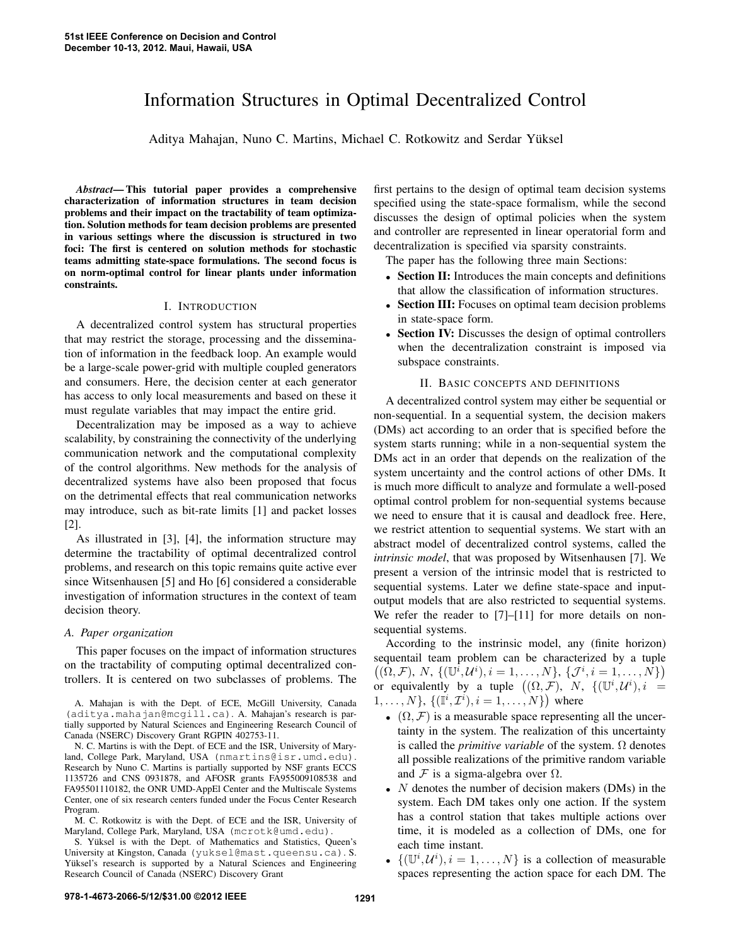# Information Structures in Optimal Decentralized Control

Aditya Mahajan, Nuno C. Martins, Michael C. Rotkowitz and Serdar Yuksel ¨

*Abstract*— This tutorial paper provides a comprehensive characterization of information structures in team decision problems and their impact on the tractability of team optimization. Solution methods for team decision problems are presented in various settings where the discussion is structured in two foci: The first is centered on solution methods for stochastic teams admitting state-space formulations. The second focus is on norm-optimal control for linear plants under information constraints.

## I. INTRODUCTION

A decentralized control system has structural properties that may restrict the storage, processing and the dissemination of information in the feedback loop. An example would be a large-scale power-grid with multiple coupled generators and consumers. Here, the decision center at each generator has access to only local measurements and based on these it must regulate variables that may impact the entire grid.

Decentralization may be imposed as a way to achieve scalability, by constraining the connectivity of the underlying communication network and the computational complexity of the control algorithms. New methods for the analysis of decentralized systems have also been proposed that focus on the detrimental effects that real communication networks may introduce, such as bit-rate limits [1] and packet losses [2].

As illustrated in [3], [4], the information structure may determine the tractability of optimal decentralized control problems, and research on this topic remains quite active ever since Witsenhausen [5] and Ho [6] considered a considerable investigation of information structures in the context of team decision theory.

## *A. Paper organization*

This paper focuses on the impact of information structures on the tractability of computing optimal decentralized controllers. It is centered on two subclasses of problems. The

N. C. Martins is with the Dept. of ECE and the ISR, University of Maryland, College Park, Maryland, USA (nmartins@isr.umd.edu). Research by Nuno C. Martins is partially supported by NSF grants ECCS 1135726 and CNS 0931878, and AFOSR grants FA955009108538 and FA95501110182, the ONR UMD-AppEl Center and the Multiscale Systems Center, one of six research centers funded under the Focus Center Research Program.

M. C. Rotkowitz is with the Dept. of ECE and the ISR, University of Maryland, College Park, Maryland, USA (mcrotk@umd.edu).

S. Yüksel is with the Dept. of Mathematics and Statistics, Queen's University at Kingston, Canada (yuksel@mast.queensu.ca). S. Yüksel's research is supported by a Natural Sciences and Engineering Research Council of Canada (NSERC) Discovery Grant

first pertains to the design of optimal team decision systems specified using the state-space formalism, while the second discusses the design of optimal policies when the system and controller are represented in linear operatorial form and decentralization is specified via sparsity constraints.

The paper has the following three main Sections:

- Section II: Introduces the main concepts and definitions that allow the classification of information structures.
- Section III: Focuses on optimal team decision problems in state-space form.
- Section IV: Discusses the design of optimal controllers when the decentralization constraint is imposed via subspace constraints.

#### II. BASIC CONCEPTS AND DEFINITIONS

A decentralized control system may either be sequential or non-sequential. In a sequential system, the decision makers (DMs) act according to an order that is specified before the system starts running; while in a non-sequential system the DMs act in an order that depends on the realization of the system uncertainty and the control actions of other DMs. It is much more difficult to analyze and formulate a well-posed optimal control problem for non-sequential systems because we need to ensure that it is causal and deadlock free. Here, we restrict attention to sequential systems. We start with an abstract model of decentralized control systems, called the *intrinsic model*, that was proposed by Witsenhausen [7]. We present a version of the intrinsic model that is restricted to sequential systems. Later we define state-space and inputoutput models that are also restricted to sequential systems. We refer the reader to [7]–[11] for more details on nonsequential systems.

According to the instrinsic model, any (finite horizon) sequentail team problem can be characterized by a tuple  $((\Omega, \mathcal{F}), N, \{(\mathbb{U}^i, \mathcal{U}^i), i = 1, ..., N\}, \{(\mathcal{J}^i, i = 1, ..., N\})$ or equivalently by a tuple  $((\Omega, \mathcal{F}), N, \{(\mathbb{U}^i, \mathcal{U}^i), i =$  ${1, \ldots, N}$ ,  ${(\mathbb{I}^i, \mathcal{I}^i), i = 1, \ldots, N}$ ) where

- $(\Omega, \mathcal{F})$  is a measurable space representing all the uncertainty in the system. The realization of this uncertainty is called the *primitive variable* of the system.  $\Omega$  denotes all possible realizations of the primitive random variable and F is a sigma-algebra over  $\Omega$ .
- $N$  denotes the number of decision makers (DMs) in the system. Each DM takes only one action. If the system has a control station that takes multiple actions over time, it is modeled as a collection of DMs, one for each time instant.
- $\{(\mathbb{U}^i, \mathcal{U}^i), i = 1, \dots, N\}$  is a collection of measurable spaces representing the action space for each DM. The

A. Mahajan is with the Dept. of ECE, McGill University, Canada (aditya.mahajan@mcgill.ca). A. Mahajan's research is partially supported by Natural Sciences and Engineering Research Council of Canada (NSERC) Discovery Grant RGPIN 402753-11.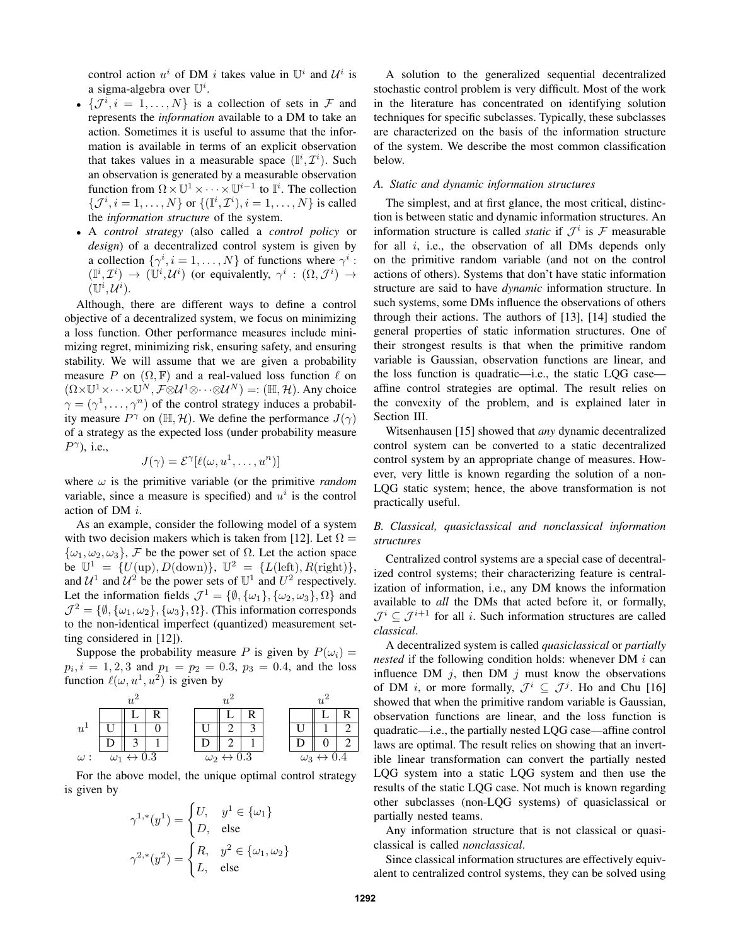control action  $u^i$  of DM i takes value in  $\mathbb{U}^i$  and  $\mathcal{U}^i$  is a sigma-algebra over  $\mathbb{U}^i$ .

- $\{\mathcal{J}^i, i = 1, \ldots, N\}$  is a collection of sets in  $\mathcal{F}$  and represents the *information* available to a DM to take an action. Sometimes it is useful to assume that the information is available in terms of an explicit observation that takes values in a measurable space  $(\mathbb{I}^i, \mathcal{I}^i)$ . Such an observation is generated by a measurable observation function from  $\Omega \times \mathbb{U}^1 \times \cdots \times \mathbb{U}^{i-1}$  to  $\mathbb{I}^i$ . The collection  $\{\mathcal{J}^{i}, i = 1, ..., N\}$  or  $\{(\mathbb{I}^{i}, \mathcal{I}^{i}), i = 1, ..., N\}$  is called the *information structure* of the system.
- A *control strategy* (also called a *control policy* or *design*) of a decentralized control system is given by a collection  $\{\gamma^i, i = 1, ..., N\}$  of functions where  $\gamma^i$ :  $(\mathbb{I}^i, \mathcal{I}^i) \rightarrow (\mathbb{U}^i, \mathcal{U}^i)$  (or equivalently,  $\gamma^i : (\Omega, \mathcal{J}^i) \rightarrow$  $(\mathbb{U}^i, \mathcal{U}^i).$

Although, there are different ways to define a control objective of a decentralized system, we focus on minimizing a loss function. Other performance measures include minimizing regret, minimizing risk, ensuring safety, and ensuring stability. We will assume that we are given a probability measure P on  $(\Omega, \mathbb{F})$  and a real-valued loss function  $\ell$  on  $(\Omega\times\mathbb{U}^1\times\cdots\times\mathbb{U}^N,\mathcal{F}\otimes\mathcal{U}^1\otimes\cdots\otimes\mathcal{U}^N)=:(\mathbb{H},\mathcal{H}).$  Any choice  $\gamma = (\gamma^1, \dots, \gamma^n)$  of the control strategy induces a probability measure  $P^{\gamma}$  on ( $\mathbb{H}, \mathcal{H}$ ). We define the performance  $J(\gamma)$ of a strategy as the expected loss (under probability measure  $P^{\gamma}$ ), i.e.,

$$
J(\gamma) = \mathcal{E}^{\gamma}[\ell(\omega, u^1, \dots, u^n)]
$$

where  $\omega$  is the primitive variable (or the primitive *random* variable, since a measure is specified) and  $u^i$  is the control action of DM i.

As an example, consider the following model of a system with two decision makers which is taken from [12]. Let  $\Omega =$  $\{\omega_1, \omega_2, \omega_3\}$ , F be the power set of  $\Omega$ . Let the action space be  $\mathbb{U}^1 = \{U(\text{up}), D(\text{down})\}, \mathbb{U}^2 = \{L(\text{left}), R(\text{right})\},\$ and  $\mathcal{U}^1$  and  $\mathcal{U}^2$  be the power sets of  $\mathbb{U}^1$  and  $U^2$  respectively. Let the information fields  $\mathcal{J}^1 = \{ \emptyset, \{\omega_1\}, \{\omega_2, \omega_3\}, \Omega \}$  and  $\mathcal{J}^2 = \{\emptyset, \{\omega_1, \omega_2\}, \{\omega_3\}, \Omega\}.$  (This information corresponds to the non-identical imperfect (quantized) measurement setting considered in [12]).

Suppose the probability measure P is given by  $P(\omega_i) =$  $p_i$ ,  $i = 1, 2, 3$  and  $p_1 = p_2 = 0.3$ ,  $p_3 = 0.4$ , and the loss function  $\ell(\omega, u^1, u^2)$  is given by

$$
\begin{array}{c|c} \n u^2 & u^2 & u^2 \\
u^1 & \overline{U & 1 & 0} \\
\hline\n u & \overline{U & 1 & 0} \\
\hline\n u & \overline{D & 3 & 1} \\
\omega & \overline{\omega_1 \leftrightarrow 0.3} & \omega_2 \leftrightarrow 0.3 & \omega_3 \leftrightarrow 0.4\n \end{array}
$$

For the above model, the unique optimal control strategy is given by

$$
\gamma^{1,*}(y^1) = \begin{cases} U, & y^1 \in \{\omega_1\} \\ D, & \text{else} \end{cases}
$$

$$
\gamma^{2,*}(y^2) = \begin{cases} R, & y^2 \in \{\omega_1, \omega_2\} \\ L, & \text{else} \end{cases}
$$

A solution to the generalized sequential decentralized stochastic control problem is very difficult. Most of the work in the literature has concentrated on identifying solution techniques for specific subclasses. Typically, these subclasses are characterized on the basis of the information structure of the system. We describe the most common classification below.

## *A. Static and dynamic information structures*

The simplest, and at first glance, the most critical, distinction is between static and dynamic information structures. An information structure is called *static* if  $\mathcal{J}^i$  is  $\mathcal{F}$  measurable for all  $i$ , i.e., the observation of all DMs depends only on the primitive random variable (and not on the control actions of others). Systems that don't have static information structure are said to have *dynamic* information structure. In such systems, some DMs influence the observations of others through their actions. The authors of [13], [14] studied the general properties of static information structures. One of their strongest results is that when the primitive random variable is Gaussian, observation functions are linear, and the loss function is quadratic—i.e., the static LQG case affine control strategies are optimal. The result relies on the convexity of the problem, and is explained later in Section III.

Witsenhausen [15] showed that *any* dynamic decentralized control system can be converted to a static decentralized control system by an appropriate change of measures. However, very little is known regarding the solution of a non-LQG static system; hence, the above transformation is not practically useful.

# *B. Classical, quasiclassical and nonclassical information structures*

Centralized control systems are a special case of decentralized control systems; their characterizing feature is centralization of information, i.e., any DM knows the information available to *all* the DMs that acted before it, or formally,  $\mathcal{J}^i \subseteq \mathcal{J}^{i+1}$  for all i. Such information structures are called *classical*.

A decentralized system is called *quasiclassical* or *partially nested* if the following condition holds: whenever DM i can influence DM  $j$ , then DM  $j$  must know the observations of DM *i*, or more formally,  $\mathcal{J}^i \subseteq \mathcal{J}^j$ . Ho and Chu [16] showed that when the primitive random variable is Gaussian, observation functions are linear, and the loss function is quadratic—i.e., the partially nested LQG case—affine control laws are optimal. The result relies on showing that an invertible linear transformation can convert the partially nested LQG system into a static LQG system and then use the results of the static LQG case. Not much is known regarding other subclasses (non-LQG systems) of quasiclassical or partially nested teams.

Any information structure that is not classical or quasiclassical is called *nonclassical*.

Since classical information structures are effectively equivalent to centralized control systems, they can be solved using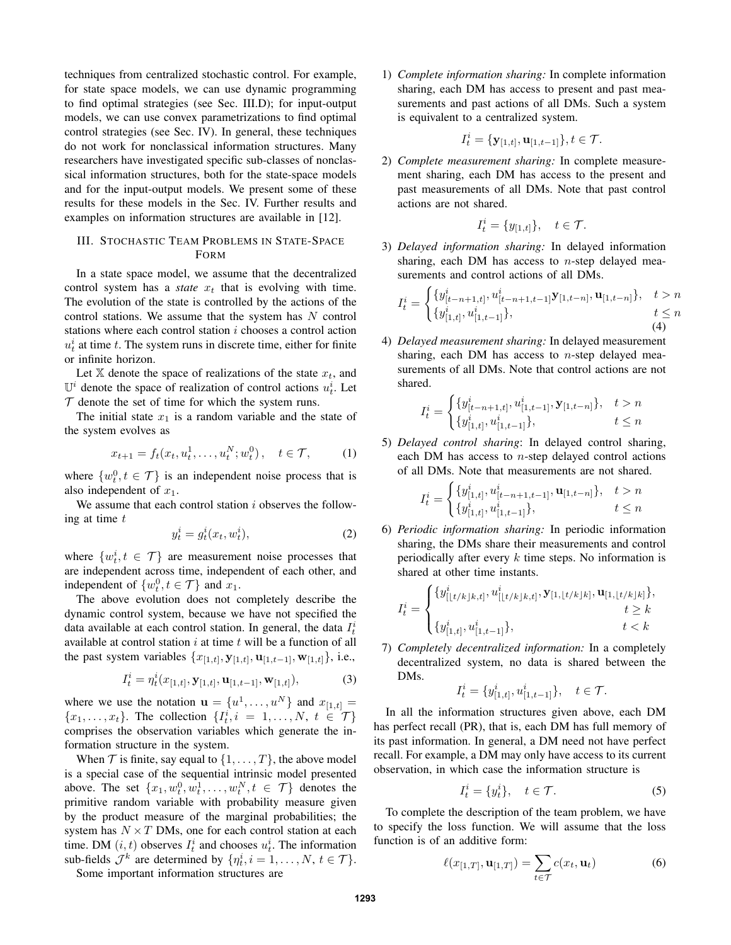techniques from centralized stochastic control. For example, for state space models, we can use dynamic programming to find optimal strategies (see Sec. III.D); for input-output models, we can use convex parametrizations to find optimal control strategies (see Sec. IV). In general, these techniques do not work for nonclassical information structures. Many researchers have investigated specific sub-classes of nonclassical information structures, both for the state-space models and for the input-output models. We present some of these results for these models in the Sec. IV. Further results and examples on information structures are available in [12].

# III. STOCHASTIC TEAM PROBLEMS IN STATE-SPACE FORM

In a state space model, we assume that the decentralized control system has a *state*  $x_t$  that is evolving with time. The evolution of the state is controlled by the actions of the control stations. We assume that the system has  $N$  control stations where each control station i chooses a control action  $u_t^i$  at time t. The system runs in discrete time, either for finite or infinite horizon.

Let X denote the space of realizations of the state  $x_t$ , and  $\mathbb{U}^i$  denote the space of realization of control actions  $u_t^i$ . Let  $\mathcal T$  denote the set of time for which the system runs.

The initial state  $x_1$  is a random variable and the state of the system evolves as

$$
x_{t+1} = f_t(x_t, u_t^1, \dots, u_t^N; w_t^0), \quad t \in \mathcal{T}, \tag{1}
$$

where  $\{w_t^0, t \in \mathcal{T}\}\$  is an independent noise process that is also independent of  $x_1$ .

We assume that each control station  $i$  observes the following at time  $t$ 

$$
y_t^i = g_t^i(x_t, w_t^i),\tag{2}
$$

where  $\{w_t^i, t \in \mathcal{T}\}\$  are measurement noise processes that are independent across time, independent of each other, and independent of  $\{w_t^0, t \in \mathcal{T}\}\$  and  $x_1$ .

The above evolution does not completely describe the dynamic control system, because we have not specified the data available at each control station. In general, the data  $I_t^i$ available at control station  $i$  at time  $t$  will be a function of all the past system variables  $\{x_{[1,t]}, y_{[1,t]}, u_{[1,t-1]}, w_{[1,t]}\}$ , i.e.,

$$
I_t^i = \eta_t^i(x_{[1,t]}, \mathbf{y}_{[1,t]}, \mathbf{u}_{[1,t-1]}, \mathbf{w}_{[1,t]}),
$$
 (3)

where we use the notation  $\mathbf{u} = \{u^1, \dots, u^N\}$  and  $x_{[1,t]} =$  ${x_1, \ldots, x_t}$ . The collection  $\{I_t^i, i = 1, \ldots, N, t \in \mathcal{T}\}$ comprises the observation variables which generate the information structure in the system.

When  $\mathcal T$  is finite, say equal to  $\{1,\ldots,T\}$ , the above model is a special case of the sequential intrinsic model presented above. The set  $\{x_1, w_t^0, w_t^1, \ldots, w_t^N, t \in \mathcal{T}\}\$  denotes the primitive random variable with probability measure given by the product measure of the marginal probabilities; the system has  $N \times T$  DMs, one for each control station at each time. DM  $(i, t)$  observes  $I_t^i$  and chooses  $u_t^i$ . The information sub-fields  $\mathcal{J}^k$  are determined by  $\{\eta_t^i, i = 1, \dots, N, t \in \mathcal{T}\}.$ 

Some important information structures are

1) *Complete information sharing:* In complete information sharing, each DM has access to present and past measurements and past actions of all DMs. Such a system is equivalent to a centralized system.

$$
I_t^i = \{ \mathbf{y}_{[1,t]}, \mathbf{u}_{[1,t-1]} \}, t \in \mathcal{T}.
$$

2) *Complete measurement sharing:* In complete measurement sharing, each DM has access to the present and past measurements of all DMs. Note that past control actions are not shared.

$$
I_t^i = \{y_{[1,t]}\}, \quad t \in \mathcal{T}.
$$

3) *Delayed information sharing:* In delayed information sharing, each DM has access to *n*-step delayed measurements and control actions of all DMs.

$$
I_t^i = \begin{cases} \{y_{[t-n+1,t]}^i, u_{[t-n+1,t-1]}^i \mathbf{y}_{[1,t-n]}, \mathbf{u}_{[1,t-n]}\}, & t > n \\ \{y_{[1,t]}^i, u_{[1,t-1]}^i\}, & t \le n \\ 4 \end{cases}
$$

4) *Delayed measurement sharing:* In delayed measurement sharing, each DM has access to  $n$ -step delayed measurements of all DMs. Note that control actions are not shared.

$$
I_t^i = \begin{cases} \{y_{[t-n+1,t]}^i, u_{[1,t-1]}^i, \mathbf{y}_{[1,t-n]}\}, & t > n \\ \{y_{[1,t]}^i, u_{[1,t-1]}^i\}, & t \leq n \end{cases}
$$

5) *Delayed control sharing*: In delayed control sharing, each DM has access to  $n$ -step delayed control actions of all DMs. Note that measurements are not shared.

$$
I_t^i = \begin{cases} \{y_{[1,t]}^i, u_{[t-n+1,t-1]}^i, \mathbf{u}_{[1,t-n]}\}, & t > n \\ \{y_{[1,t]}^i, u_{[1,t-1]}^i\}, & t \le n \end{cases}
$$

6) *Periodic information sharing:* In periodic information sharing, the DMs share their measurements and control periodically after every  $k$  time steps. No information is shared at other time instants.

$$
I_t^i = \begin{cases} \{y_{[ \lfloor t/k \rfloor k, t]}^i, u_{[ \lfloor t/k \rfloor k, t]}^i, \mathbf{y}_{[1, \lfloor t/k \rfloor k]}, \mathbf{u}_{[1, \lfloor t/k \rfloor k]} \}, \\ \{y_{[1, t]}^i, u_{[1, t-1]}^i\}, & t < k \end{cases}
$$

7) *Completely decentralized information:* In a completely decentralized system, no data is shared between the DMs.

$$
I_t^i = \{ y^i_{[1,t]}, u^i_{[1,t-1]} \}, \quad t \in \mathcal{T}.
$$

In all the information structures given above, each DM has perfect recall (PR), that is, each DM has full memory of its past information. In general, a DM need not have perfect recall. For example, a DM may only have access to its current observation, in which case the information structure is

$$
I_t^i = \{y_t^i\}, \quad t \in \mathcal{T}.\tag{5}
$$

To complete the description of the team problem, we have to specify the loss function. We will assume that the loss function is of an additive form:

$$
\ell(x_{[1,T]}, \mathbf{u}_{[1,T]}) = \sum_{t \in \mathcal{T}} c(x_t, \mathbf{u}_t) \tag{6}
$$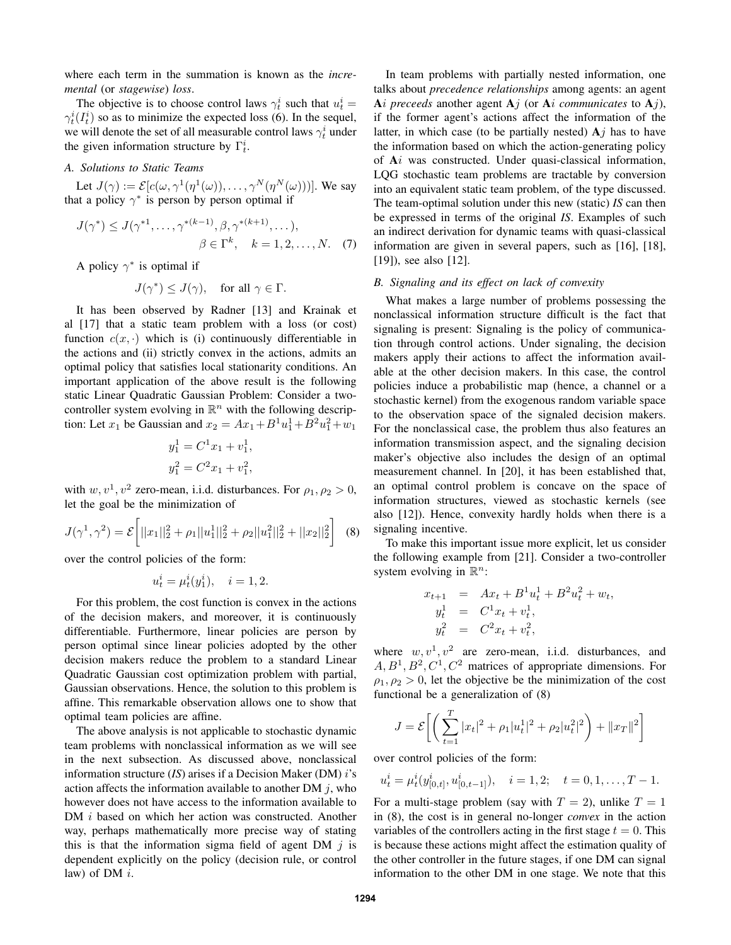where each term in the summation is known as the *incremental* (or *stagewise*) *loss*.

The objective is to choose control laws  $\gamma_t^i$  such that  $u_t^i =$  $\gamma_t^i(I_t^i)$  so as to minimize the expected loss (6). In the sequel, we will denote the set of all measurable control laws  $\gamma_t^i$  under the given information structure by  $\Gamma_t^i$ .

# *A. Solutions to Static Teams*

Let  $J(\gamma) := \mathcal{E}[c(\omega, \gamma^1(\eta^1(\omega)), \dots, \gamma^N(\eta^N(\omega)))]$ . We say that a policy  $\gamma^*$  is person by person optimal if

$$
J(\gamma^*) \le J(\gamma^{*1}, \dots, \gamma^{*(k-1)}, \beta, \gamma^{*(k+1)}, \dots),
$$
  

$$
\beta \in \Gamma^k, \quad k = 1, 2, \dots, N. \quad (7)
$$

A policy  $\gamma^*$  is optimal if

$$
J(\gamma^*) \le J(\gamma), \quad \text{for all } \gamma \in \Gamma.
$$

It has been observed by Radner [13] and Krainak et al [17] that a static team problem with a loss (or cost) function  $c(x, \cdot)$  which is (i) continuously differentiable in the actions and (ii) strictly convex in the actions, admits an optimal policy that satisfies local stationarity conditions. An important application of the above result is the following static Linear Quadratic Gaussian Problem: Consider a twocontroller system evolving in  $\mathbb{R}^n$  with the following description: Let  $x_1$  be Gaussian and  $x_2 = Ax_1 + B^1u_1^1 + B^2u_1^2 + w_1$ 

$$
y_1^1 = C^1 x_1 + v_1^1,
$$
  

$$
y_1^2 = C^2 x_1 + v_1^2,
$$

with  $w, v^1, v^2$  zero-mean, i.i.d. disturbances. For  $\rho_1, \rho_2 > 0$ , let the goal be the minimization of

$$
J(\gamma^1, \gamma^2) = \mathcal{E}\left[||x_1||_2^2 + \rho_1||u_1||_2^2 + \rho_2||u_1||_2^2 + ||x_2||_2^2\right] \tag{8}
$$

over the control policies of the form:

$$
u_t^i = \mu_t^i(y_1^i), \quad i = 1, 2.
$$

For this problem, the cost function is convex in the actions of the decision makers, and moreover, it is continuously differentiable. Furthermore, linear policies are person by person optimal since linear policies adopted by the other decision makers reduce the problem to a standard Linear Quadratic Gaussian cost optimization problem with partial, Gaussian observations. Hence, the solution to this problem is affine. This remarkable observation allows one to show that optimal team policies are affine.

The above analysis is not applicable to stochastic dynamic team problems with nonclassical information as we will see in the next subsection. As discussed above, nonclassical information structure (*IS*) arises if a Decision Maker (DM) i's action affects the information available to another DM  $j$ , who however does not have access to the information available to DM *i* based on which her action was constructed. Another way, perhaps mathematically more precise way of stating this is that the information sigma field of agent DM  $j$  is dependent explicitly on the policy (decision rule, or control law) of DM $i$ .

In team problems with partially nested information, one talks about *precedence relationships* among agents: an agent Ai *preceeds* another agent  $A_j$  (or  $A_i$  *communicates* to  $A_j$ ), if the former agent's actions affect the information of the latter, in which case (to be partially nested)  $A<sub>j</sub>$  has to have the information based on which the action-generating policy of Ai was constructed. Under quasi-classical information, LQG stochastic team problems are tractable by conversion into an equivalent static team problem, of the type discussed. The team-optimal solution under this new (static) *IS* can then be expressed in terms of the original *IS*. Examples of such an indirect derivation for dynamic teams with quasi-classical information are given in several papers, such as [16], [18], [19]), see also [12].

## *B. Signaling and its effect on lack of convexity*

What makes a large number of problems possessing the nonclassical information structure difficult is the fact that signaling is present: Signaling is the policy of communication through control actions. Under signaling, the decision makers apply their actions to affect the information available at the other decision makers. In this case, the control policies induce a probabilistic map (hence, a channel or a stochastic kernel) from the exogenous random variable space to the observation space of the signaled decision makers. For the nonclassical case, the problem thus also features an information transmission aspect, and the signaling decision maker's objective also includes the design of an optimal measurement channel. In [20], it has been established that, an optimal control problem is concave on the space of information structures, viewed as stochastic kernels (see also [12]). Hence, convexity hardly holds when there is a signaling incentive.

To make this important issue more explicit, let us consider the following example from [21]. Consider a two-controller system evolving in  $\mathbb{R}^n$ :

$$
x_{t+1} = Ax_t + B^1 u_t^1 + B^2 u_t^2 + w_t,
$$
  
\n
$$
y_t^1 = C^1 x_t + v_t^1,
$$
  
\n
$$
y_t^2 = C^2 x_t + v_t^2,
$$

where  $w, v^1, v^2$  are zero-mean, i.i.d. disturbances, and  $A, B<sup>1</sup>, B<sup>2</sup>, C<sup>1</sup>, C<sup>2</sup>$  matrices of appropriate dimensions. For  $\rho_1, \rho_2 > 0$ , let the objective be the minimization of the cost functional be a generalization of (8)

$$
J = \mathcal{E}\bigg[\bigg(\sum_{t=1}^{T} |x_t|^2 + \rho_1 |u_t^1|^2 + \rho_2 |u_t^2|^2\bigg) + ||x_T||^2\bigg]
$$

over control policies of the form:

$$
u_t^i = \mu_t^i(y_{[0,t]}^i, u_{[0,t-1]}^i), \quad i = 1, 2; \quad t = 0, 1, \dots, T-1.
$$

For a multi-stage problem (say with  $T = 2$ ), unlike  $T = 1$ in (8), the cost is in general no-longer *convex* in the action variables of the controllers acting in the first stage  $t = 0$ . This is because these actions might affect the estimation quality of the other controller in the future stages, if one DM can signal information to the other DM in one stage. We note that this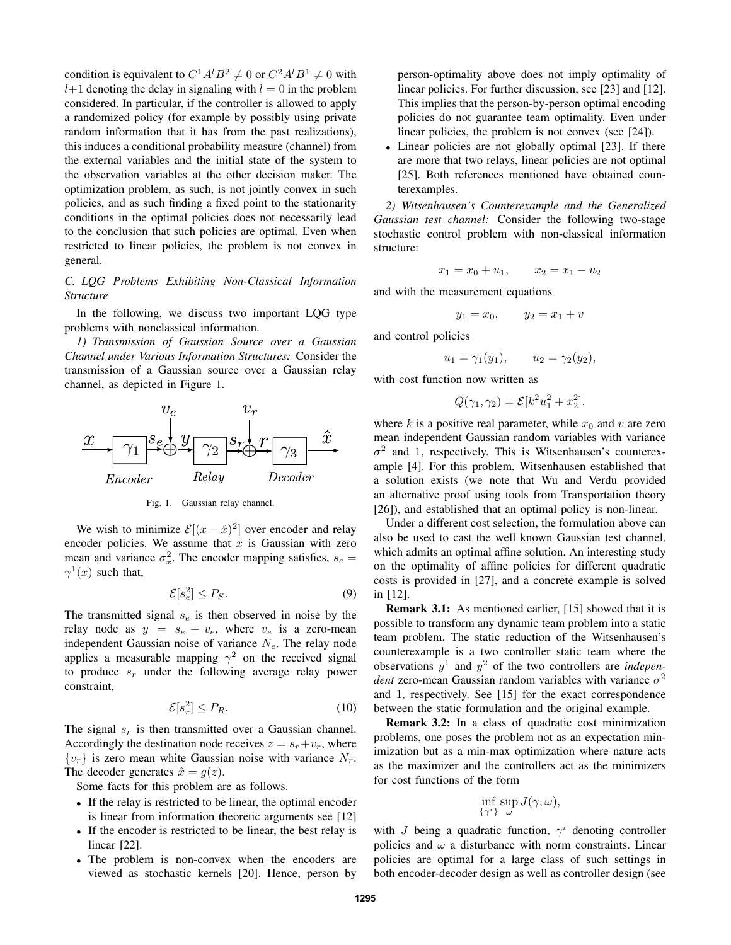condition is equivalent to  $C^1A^lB^2 \neq 0$  or  $C^2A^lB^1 \neq 0$  with  $l+1$  denoting the delay in signaling with  $l = 0$  in the problem considered. In particular, if the controller is allowed to apply a randomized policy (for example by possibly using private random information that it has from the past realizations), this induces a conditional probability measure (channel) from the external variables and the initial state of the system to the observation variables at the other decision maker. The optimization problem, as such, is not jointly convex in such policies, and as such finding a fixed point to the stationarity conditions in the optimal policies does not necessarily lead to the conclusion that such policies are optimal. Even when restricted to linear policies, the problem is not convex in general.

# *C. LQG Problems Exhibiting Non-Classical Information Structure*

In the following, we discuss two important LQG type problems with nonclassical information.

*1) Transmission of Gaussian Source over a Gaussian Channel under Various Information Structures:* Consider the transmission of a Gaussian source over a Gaussian relay channel, as depicted in Figure 1.





We wish to minimize  $\mathcal{E}[(x - \hat{x})^2]$  over encoder and relay encoder policies. We assume that  $x$  is Gaussian with zero mean and variance  $\sigma_x^2$ . The encoder mapping satisfies,  $s_e$  =  $\gamma^1(x)$  such that,

$$
\mathcal{E}[s_e^2] \le P_S. \tag{9}
$$

The transmitted signal  $s_e$  is then observed in noise by the relay node as  $y = s_e + v_e$ , where  $v_e$  is a zero-mean independent Gaussian noise of variance  $N_e$ . The relay node applies a measurable mapping  $\gamma^2$  on the received signal to produce  $s_r$  under the following average relay power constraint,

$$
\mathcal{E}[s_r^2] \le P_R. \tag{10}
$$

The signal  $s_r$  is then transmitted over a Gaussian channel. Accordingly the destination node receives  $z = s_r + v_r$ , where  ${v_r}$  is zero mean white Gaussian noise with variance  $N_r$ . The decoder generates  $\hat{x} = q(z)$ .

Some facts for this problem are as follows.

- If the relay is restricted to be linear, the optimal encoder is linear from information theoretic arguments see [12]
- If the encoder is restricted to be linear, the best relay is linear [22].
- The problem is non-convex when the encoders are viewed as stochastic kernels [20]. Hence, person by

person-optimality above does not imply optimality of linear policies. For further discussion, see [23] and [12]. This implies that the person-by-person optimal encoding policies do not guarantee team optimality. Even under linear policies, the problem is not convex (see [24]).

• Linear policies are not globally optimal [23]. If there are more that two relays, linear policies are not optimal [25]. Both references mentioned have obtained counterexamples.

*2) Witsenhausen's Counterexample and the Generalized Gaussian test channel:* Consider the following two-stage stochastic control problem with non-classical information structure:

$$
x_1 = x_0 + u_1, \qquad x_2 = x_1 - u_2
$$

and with the measurement equations

$$
y_1 = x_0
$$
,  $y_2 = x_1 + v$ 

and control policies

$$
u_1 = \gamma_1(y_1), \qquad u_2 = \gamma_2(y_2),
$$

with cost function now written as

$$
Q(\gamma_1, \gamma_2) = \mathcal{E}[k^2 u_1^2 + x_2^2].
$$

where k is a positive real parameter, while  $x_0$  and v are zero mean independent Gaussian random variables with variance  $\sigma^2$  and 1, respectively. This is Witsenhausen's counterexample [4]. For this problem, Witsenhausen established that a solution exists (we note that Wu and Verdu provided an alternative proof using tools from Transportation theory [26]), and established that an optimal policy is non-linear.

Under a different cost selection, the formulation above can also be used to cast the well known Gaussian test channel, which admits an optimal affine solution. An interesting study on the optimality of affine policies for different quadratic costs is provided in [27], and a concrete example is solved in [12].

Remark 3.1: As mentioned earlier, [15] showed that it is possible to transform any dynamic team problem into a static team problem. The static reduction of the Witsenhausen's counterexample is a two controller static team where the observations  $y^1$  and  $y^2$  of the two controllers are *independent* zero-mean Gaussian random variables with variance  $\sigma^2$ and 1, respectively. See [15] for the exact correspondence between the static formulation and the original example.

Remark 3.2: In a class of quadratic cost minimization problems, one poses the problem not as an expectation minimization but as a min-max optimization where nature acts as the maximizer and the controllers act as the minimizers for cost functions of the form

$$
\inf_{\{\gamma^i\}}\sup_{\omega}J(\gamma,\omega),
$$

with J being a quadratic function,  $\gamma^i$  denoting controller policies and  $\omega$  a disturbance with norm constraints. Linear policies are optimal for a large class of such settings in both encoder-decoder design as well as controller design (see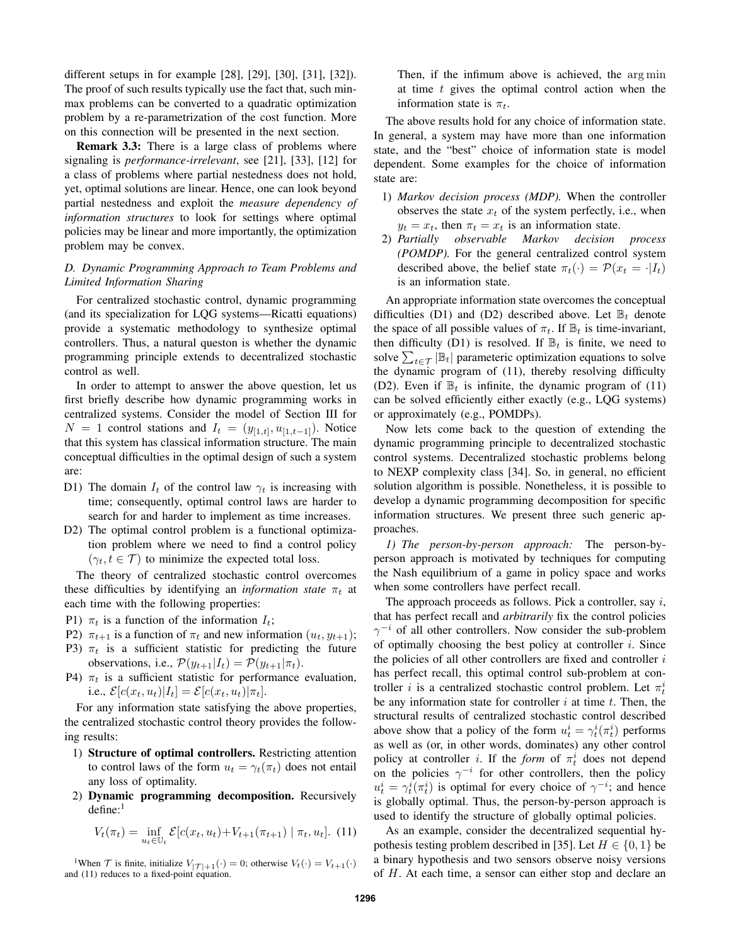different setups in for example [28], [29], [30], [31], [32]). The proof of such results typically use the fact that, such minmax problems can be converted to a quadratic optimization problem by a re-parametrization of the cost function. More on this connection will be presented in the next section.

Remark 3.3: There is a large class of problems where signaling is *performance-irrelevant*, see [21], [33], [12] for a class of problems where partial nestedness does not hold, yet, optimal solutions are linear. Hence, one can look beyond partial nestedness and exploit the *measure dependency of information structures* to look for settings where optimal policies may be linear and more importantly, the optimization problem may be convex.

# *D. Dynamic Programming Approach to Team Problems and Limited Information Sharing*

For centralized stochastic control, dynamic programming (and its specialization for LQG systems—Ricatti equations) provide a systematic methodology to synthesize optimal controllers. Thus, a natural queston is whether the dynamic programming principle extends to decentralized stochastic control as well.

In order to attempt to answer the above question, let us first briefly describe how dynamic programming works in centralized systems. Consider the model of Section III for  $N = 1$  control stations and  $I_t = (y_{[1,t]}, u_{[1,t-1]})$ . Notice that this system has classical information structure. The main conceptual difficulties in the optimal design of such a system are:

- D1) The domain  $I_t$  of the control law  $\gamma_t$  is increasing with time; consequently, optimal control laws are harder to search for and harder to implement as time increases.
- D2) The optimal control problem is a functional optimization problem where we need to find a control policy  $(\gamma_t, t \in \mathcal{T})$  to minimize the expected total loss.

The theory of centralized stochastic control overcomes these difficulties by identifying an *information state*  $\pi_t$  at each time with the following properties:

- P1)  $\pi_t$  is a function of the information  $I_t$ ;
- P2)  $\pi_{t+1}$  is a function of  $\pi_t$  and new information  $(u_t, y_{t+1});$
- P3)  $\pi_t$  is a sufficient statistic for predicting the future observations, i.e.,  $\mathcal{P}(y_{t+1}|I_t) = \mathcal{P}(y_{t+1}|\pi_t)$ .
- P4)  $\pi_t$  is a sufficient statistic for performance evaluation, i.e.,  $\mathcal{E}[c(x_t, u_t)|I_t] = \mathcal{E}[c(x_t, u_t)|\pi_t].$

For any information state satisfying the above properties, the centralized stochastic control theory provides the following results:

- 1) Structure of optimal controllers. Restricting attention to control laws of the form  $u_t = \gamma_t(\pi_t)$  does not entail any loss of optimality.
- 2) Dynamic programming decomposition. Recursively  $define:$ <sup>1</sup>

$$
V_t(\pi_t) = \inf_{u_t \in \mathbb{U}_t} \mathcal{E}[c(x_t, u_t) + V_{t+1}(\pi_{t+1}) \mid \pi_t, u_t]. \tag{11}
$$

<sup>1</sup>When  $\mathcal T$  is finite, initialize  $V_{|\mathcal T|+1}(\cdot) = 0$ ; otherwise  $V_t(\cdot) = V_{t+1}(\cdot)$ and (11) reduces to a fixed-point equation.

Then, if the infimum above is achieved, the arg min at time  $t$  gives the optimal control action when the information state is  $\pi_t$ .

The above results hold for any choice of information state. In general, a system may have more than one information state, and the "best" choice of information state is model dependent. Some examples for the choice of information state are:

- 1) *Markov decision process (MDP).* When the controller observes the state  $x_t$  of the system perfectly, i.e., when  $y_t = x_t$ , then  $\pi_t = x_t$  is an information state.
- 2) *Partially observable Markov decision process (POMDP).* For the general centralized control system described above, the belief state  $\pi_t(\cdot) = \mathcal{P}(x_t = \cdot | I_t)$ is an information state.

An appropriate information state overcomes the conceptual difficulties (D1) and (D2) described above. Let  $\mathbb{B}_t$  denote the space of all possible values of  $\pi_t$ . If  $\mathbb{B}_t$  is time-invariant, then difficulty (D1) is resolved. If  $\mathbb{B}_t$  is finite, we need to solve  $\sum_{t \in \mathcal{T}} |\mathbb{B}_t|$  parameteric optimization equations to solve the dynamic program of (11), thereby resolving difficulty (D2). Even if  $\mathbb{B}_t$  is infinite, the dynamic program of (11) can be solved efficiently either exactly (e.g., LQG systems) or approximately (e.g., POMDPs).

Now lets come back to the question of extending the dynamic programming principle to decentralized stochastic control systems. Decentralized stochastic problems belong to NEXP complexity class [34]. So, in general, no efficient solution algorithm is possible. Nonetheless, it is possible to develop a dynamic programming decomposition for specific information structures. We present three such generic approaches.

*1) The person-by-person approach:* The person-byperson approach is motivated by techniques for computing the Nash equilibrium of a game in policy space and works when some controllers have perfect recall.

The approach proceeds as follows. Pick a controller, say  $i$ , that has perfect recall and *arbitrarily* fix the control policies  $\gamma^{-i}$  of all other controllers. Now consider the sub-problem of optimally choosing the best policy at controller  $i$ . Since the policies of all other controllers are fixed and controller  $i$ has perfect recall, this optimal control sub-problem at controller *i* is a centralized stochastic control problem. Let  $\pi_t^i$ be any information state for controller  $i$  at time  $t$ . Then, the structural results of centralized stochastic control described above show that a policy of the form  $u_t^i = \gamma_t^i(\pi_t^i)$  performs as well as (or, in other words, dominates) any other control policy at controller *i*. If the *form* of  $\pi_t^i$  does not depend on the policies  $\gamma^{-i}$  for other controllers, then the policy  $u_t^i = \gamma_t^i(\pi_t^i)$  is optimal for every choice of  $\gamma^{-i}$ ; and hence is globally optimal. Thus, the person-by-person approach is used to identify the structure of globally optimal policies.

As an example, consider the decentralized sequential hypothesis testing problem described in [35]. Let  $H \in \{0, 1\}$  be a binary hypothesis and two sensors observe noisy versions of H. At each time, a sensor can either stop and declare an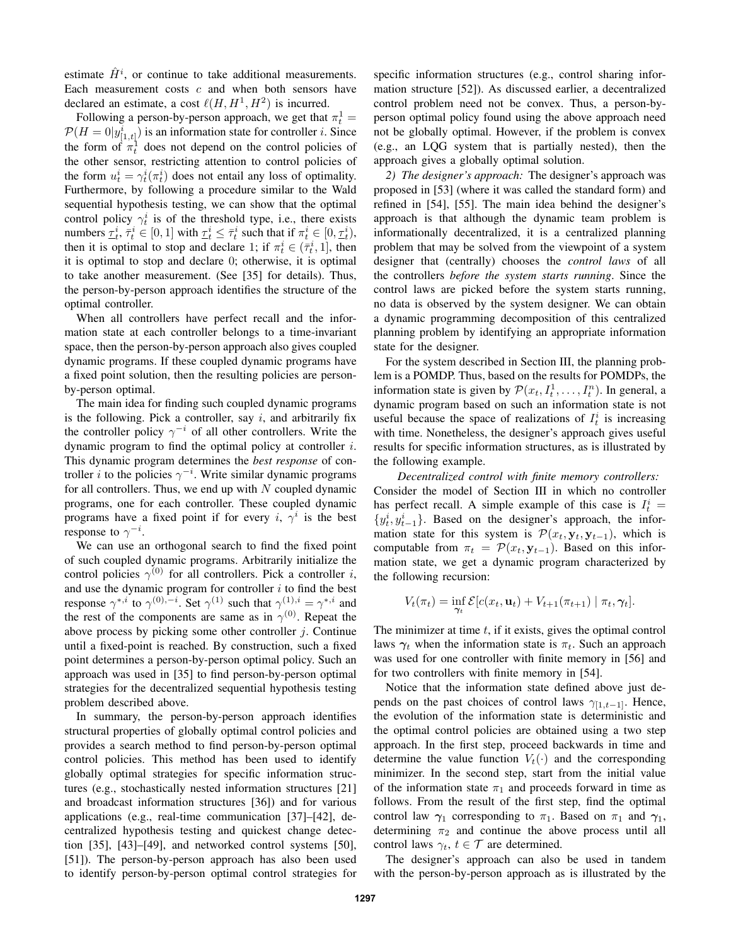estimate  $\hat{H}^i$ , or continue to take additional measurements. Each measurement costs  $c$  and when both sensors have declared an estimate, a cost  $\ell(H, H^1, H^2)$  is incurred.

Following a person-by-person approach, we get that  $\pi_t^1 =$  $P(H = 0|y^i_{[1,t]})$  is an information state for controller *i*. Since the form of  $\pi_t^1$  does not depend on the control policies of the other sensor, restricting attention to control policies of the form  $u_t^i = \gamma_t^i(\pi_t^i)$  does not entail any loss of optimality. Furthermore, by following a procedure similar to the Wald sequential hypothesis testing, we can show that the optimal control policy  $\gamma_t^i$  is of the threshold type, i.e., there exists numbers  $\underline{\tau}_t^i$ ,  $\bar{\tau}_t^i \in [0,1]$  with  $\underline{\tau}_t^i \leq \bar{\tau}_t^i$  such that if  $\pi_t^i \in [0,\underline{\tau}_t^i)$ , then it is optimal to stop and declare 1; if  $\pi_t^i \in (\bar{\tau}_t^i, 1]$ , then it is optimal to stop and declare 0; otherwise, it is optimal to take another measurement. (See [35] for details). Thus, the person-by-person approach identifies the structure of the optimal controller.

When all controllers have perfect recall and the information state at each controller belongs to a time-invariant space, then the person-by-person approach also gives coupled dynamic programs. If these coupled dynamic programs have a fixed point solution, then the resulting policies are personby-person optimal.

The main idea for finding such coupled dynamic programs is the following. Pick a controller, say  $i$ , and arbitrarily fix the controller policy  $\gamma^{-i}$  of all other controllers. Write the dynamic program to find the optimal policy at controller i. This dynamic program determines the *best response* of controller *i* to the policies  $\gamma^{-i}$ . Write similar dynamic programs for all controllers. Thus, we end up with  $N$  coupled dynamic programs, one for each controller. These coupled dynamic programs have a fixed point if for every i,  $\gamma^i$  is the best response to  $\gamma^{-i}$ .

We can use an orthogonal search to find the fixed point of such coupled dynamic programs. Arbitrarily initialize the control policies  $\gamma^{(0)}$  for all controllers. Pick a controller i, and use the dynamic program for controller  $i$  to find the best response  $\gamma^{*,i}$  to  $\gamma^{(0),-i}$ . Set  $\gamma^{(1)}$  such that  $\gamma^{(1),i} = \gamma^{*,i}$  and the rest of the components are same as in  $\gamma^{(0)}$ . Repeat the above process by picking some other controller  $j$ . Continue until a fixed-point is reached. By construction, such a fixed point determines a person-by-person optimal policy. Such an approach was used in [35] to find person-by-person optimal strategies for the decentralized sequential hypothesis testing problem described above.

In summary, the person-by-person approach identifies structural properties of globally optimal control policies and provides a search method to find person-by-person optimal control policies. This method has been used to identify globally optimal strategies for specific information structures (e.g., stochastically nested information structures [21] and broadcast information structures [36]) and for various applications (e.g., real-time communication [37]–[42], decentralized hypothesis testing and quickest change detection [35], [43]–[49], and networked control systems [50], [51]). The person-by-person approach has also been used to identify person-by-person optimal control strategies for

specific information structures (e.g., control sharing information structure [52]). As discussed earlier, a decentralized control problem need not be convex. Thus, a person-byperson optimal policy found using the above approach need not be globally optimal. However, if the problem is convex (e.g., an LQG system that is partially nested), then the approach gives a globally optimal solution.

*2) The designer's approach:* The designer's approach was proposed in [53] (where it was called the standard form) and refined in [54], [55]. The main idea behind the designer's approach is that although the dynamic team problem is informationally decentralized, it is a centralized planning problem that may be solved from the viewpoint of a system designer that (centrally) chooses the *control laws* of all the controllers *before the system starts running*. Since the control laws are picked before the system starts running, no data is observed by the system designer. We can obtain a dynamic programming decomposition of this centralized planning problem by identifying an appropriate information state for the designer.

For the system described in Section III, the planning problem is a POMDP. Thus, based on the results for POMDPs, the information state is given by  $\mathcal{P}(x_t, I_t^1, \dots, I_t^n)$ . In general, a dynamic program based on such an information state is not useful because the space of realizations of  $I_t^i$  is increasing with time. Nonetheless, the designer's approach gives useful results for specific information structures, as is illustrated by the following example.

*Decentralized control with finite memory controllers:* Consider the model of Section III in which no controller has perfect recall. A simple example of this case is  $I_t^i$  =  $\{y_t^i, y_{t-1}^i\}$ . Based on the designer's approach, the information state for this system is  $\mathcal{P}(x_t, y_t, y_{t-1})$ , which is computable from  $\pi_t = \mathcal{P}(x_t, \mathbf{y}_{t-1})$ . Based on this information state, we get a dynamic program characterized by the following recursion:

$$
V_t(\pi_t) = \inf_{\gamma_t} \mathcal{E}[c(x_t, \mathbf{u}_t) + V_{t+1}(\pi_{t+1}) | \pi_t, \gamma_t].
$$

The minimizer at time  $t$ , if it exists, gives the optimal control laws  $\gamma_t$  when the information state is  $\pi_t$ . Such an approach was used for one controller with finite memory in [56] and for two controllers with finite memory in [54].

Notice that the information state defined above just depends on the past choices of control laws  $\gamma_{[1,t-1]}$ . Hence, the evolution of the information state is deterministic and the optimal control policies are obtained using a two step approach. In the first step, proceed backwards in time and determine the value function  $V_t(\cdot)$  and the corresponding minimizer. In the second step, start from the initial value of the information state  $\pi_1$  and proceeds forward in time as follows. From the result of the first step, find the optimal control law  $\gamma_1$  corresponding to  $\pi_1$ . Based on  $\pi_1$  and  $\gamma_1$ , determining  $\pi_2$  and continue the above process until all control laws  $\gamma_t$ ,  $t \in \mathcal{T}$  are determined.

The designer's approach can also be used in tandem with the person-by-person approach as is illustrated by the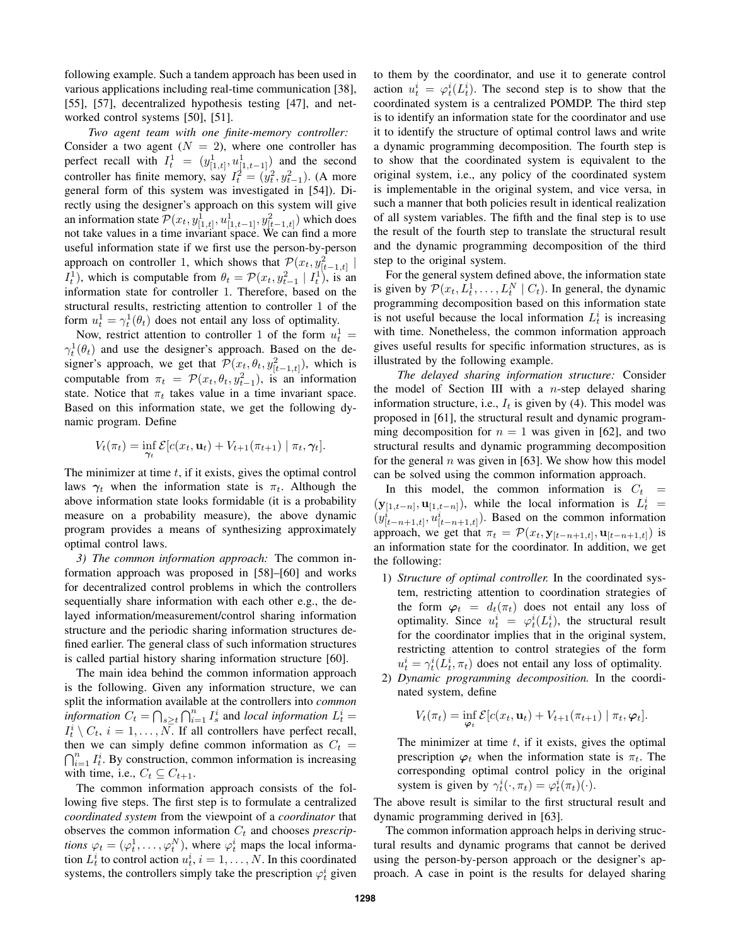following example. Such a tandem approach has been used in various applications including real-time communication [38], [55], [57], decentralized hypothesis testing [47], and networked control systems [50], [51].

*Two agent team with one finite-memory controller:* Consider a two agent  $(N = 2)$ , where one controller has perfect recall with  $I_t^1 = (y_{[1,t]}^1, u_{[1,t-1]}^1)$  and the second controller has finite memory, say  $I_t^2 = (y_t^2, y_{t-1}^2)$ . (A more general form of this system was investigated in [54]). Directly using the designer's approach on this system will give an information state  $\mathcal{P}(x_t, y_{[1,t]}^1, u_{[1,t-1]}^1, y_{[t-1,t]}^2)$  which does not take values in a time invariant space. We can find a more useful information state if we first use the person-by-person approach on controller 1, which shows that  $\mathcal{P}(x_t, y_{[t-1,t]}^2 | t)$  $I_t^1$ ), which is computable from  $\theta_t = \mathcal{P}(x_t, y_{t-1}^1 | I_t^1)$ , is an information state for controller 1. Therefore, based on the structural results, restricting attention to controller 1 of the form  $u_t^1 = \gamma_t^1(\theta_t)$  does not entail any loss of optimality.

Now, restrict attention to controller 1 of the form  $u_t^1 =$  $\gamma_t^1(\theta_t)$  and use the designer's approach. Based on the designer's approach, we get that  $\mathcal{P}(x_t, \theta_t, y_{[t-1,t]}^2)$ , which is computable from  $\pi_t = \mathcal{P}(x_t, \theta_t, y_{t-1}^2)$ , is an information state. Notice that  $\pi_t$  takes value in a time invariant space. Based on this information state, we get the following dynamic program. Define

$$
V_t(\pi_t) = \inf_{\gamma_t} \mathcal{E}[c(x_t, \mathbf{u}_t) + V_{t+1}(\pi_{t+1}) | \pi_t, \gamma_t].
$$

The minimizer at time  $t$ , if it exists, gives the optimal control laws  $\gamma_t$  when the information state is  $\pi_t$ . Although the above information state looks formidable (it is a probability measure on a probability measure), the above dynamic program provides a means of synthesizing approximately optimal control laws.

*3) The common information approach:* The common information approach was proposed in [58]–[60] and works for decentralized control problems in which the controllers sequentially share information with each other e.g., the delayed information/measurement/control sharing information structure and the periodic sharing information structures defined earlier. The general class of such information structures is called partial history sharing information structure [60].

The main idea behind the common information approach is the following. Given any information structure, we can split the information available at the controllers into *common information*  $C_t = \bigcap_{s \geq t} \bigcap_{i=1}^n I_s^i$  and *local information*  $L_t^i =$  $I_t^i \setminus C_t$ ,  $i = 1, ..., N$ . If all controllers have perfect recall, then we can simply define common information as  $C_t =$  $\bigcap_{i=1}^n I_t^i$ . By construction, common information is increasing with time, i.e.,  $C_t \subseteq C_{t+1}$ .

The common information approach consists of the following five steps. The first step is to formulate a centralized *coordinated system* from the viewpoint of a *coordinator* that observes the common information  $C_t$  and chooses *prescriptions*  $\varphi_t = (\varphi_t^1, \dots, \varphi_t^N)$ , where  $\varphi_t^i$  maps the local information  $L_t^i$  to control action  $u_t^i$ ,  $i = 1, \ldots, N$ . In this coordinated systems, the controllers simply take the prescription  $\varphi_t^i$  given

to them by the coordinator, and use it to generate control action  $u_t^i = \varphi_t^i(L_t^i)$ . The second step is to show that the coordinated system is a centralized POMDP. The third step is to identify an information state for the coordinator and use it to identify the structure of optimal control laws and write a dynamic programming decomposition. The fourth step is to show that the coordinated system is equivalent to the original system, i.e., any policy of the coordinated system is implementable in the original system, and vice versa, in such a manner that both policies result in identical realization of all system variables. The fifth and the final step is to use the result of the fourth step to translate the structural result and the dynamic programming decomposition of the third step to the original system.

For the general system defined above, the information state is given by  $\mathcal{P}(x_t, L_t^1, \ldots, L_t^N | C_t)$ . In general, the dynamic programming decomposition based on this information state is not useful because the local information  $L_t^i$  is increasing with time. Nonetheless, the common information approach gives useful results for specific information structures, as is illustrated by the following example.

*The delayed sharing information structure:* Consider the model of Section III with a *n*-step delayed sharing information structure, i.e.,  $I_t$  is given by (4). This model was proposed in [61], the structural result and dynamic programming decomposition for  $n = 1$  was given in [62], and two structural results and dynamic programming decomposition for the general  $n$  was given in [63]. We show how this model can be solved using the common information approach.

In this model, the common information is  $C_t =$  $(\mathbf{y}_{[1,t-n]}, \mathbf{u}_{[1,t-n]}),$  while the local information is  $L_t^i =$  $(y^i_{[t-n+1,t]}, u^i_{[t-n+1,t]})$ . Based on the common information approach, we get that  $\pi_t = \mathcal{P}(x_t, \mathbf{y}_{[t-n+1,t]}, \mathbf{u}_{[t-n+1,t]})$  is an information state for the coordinator. In addition, we get the following:

- 1) *Structure of optimal controller.* In the coordinated system, restricting attention to coordination strategies of the form  $\varphi_t = d_t(\pi_t)$  does not entail any loss of optimality. Since  $u_t^i = \varphi_t^i(L_t^i)$ , the structural result for the coordinator implies that in the original system, restricting attention to control strategies of the form  $u_t^i = \gamma_t^i(L_t^i, \pi_t)$  does not entail any loss of optimality.
- 2) *Dynamic programming decomposition.* In the coordinated system, define

$$
V_t(\pi_t) = \inf_{\boldsymbol{\varphi}_t} \mathcal{E}[c(x_t, \mathbf{u}_t) + V_{t+1}(\pi_{t+1}) | \pi_t, \boldsymbol{\varphi}_t].
$$

The minimizer at time  $t$ , if it exists, gives the optimal prescription  $\varphi_t$  when the information state is  $\pi_t$ . The corresponding optimal control policy in the original system is given by  $\gamma_t^i(\cdot, \pi_t) = \varphi_t^i(\pi_t)(\cdot)$ .

The above result is similar to the first structural result and dynamic programming derived in [63].

The common information approach helps in deriving structural results and dynamic programs that cannot be derived using the person-by-person approach or the designer's approach. A case in point is the results for delayed sharing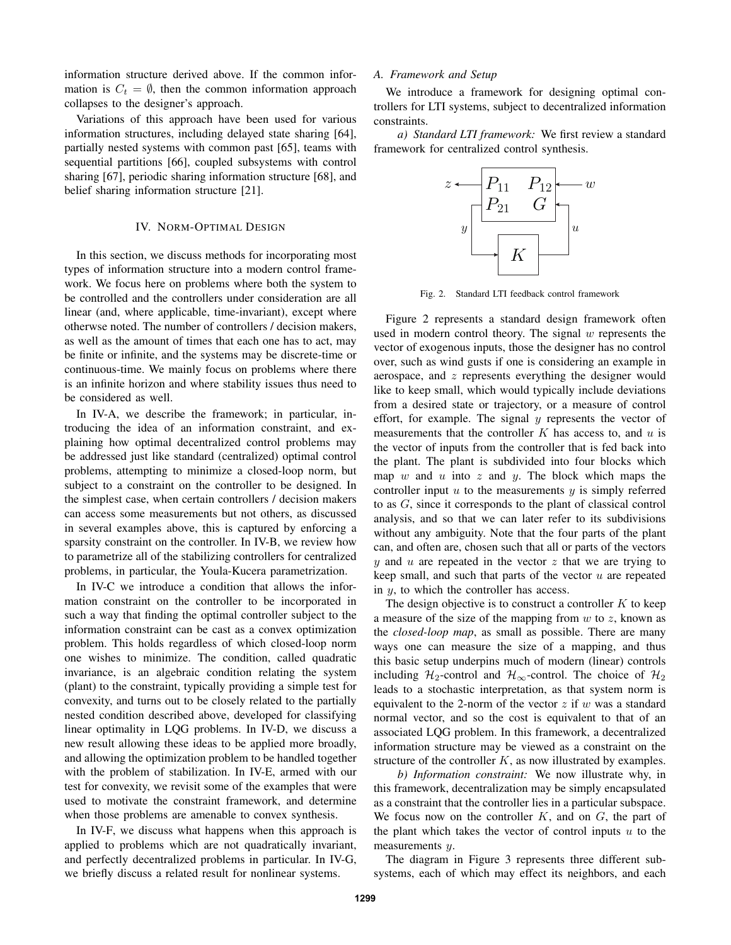information structure derived above. If the common information is  $C_t = \emptyset$ , then the common information approach collapses to the designer's approach.

Variations of this approach have been used for various information structures, including delayed state sharing [64], partially nested systems with common past [65], teams with sequential partitions [66], coupled subsystems with control sharing [67], periodic sharing information structure [68], and belief sharing information structure [21].

## IV. NORM-OPTIMAL DESIGN

In this section, we discuss methods for incorporating most types of information structure into a modern control framework. We focus here on problems where both the system to be controlled and the controllers under consideration are all linear (and, where applicable, time-invariant), except where otherwse noted. The number of controllers / decision makers, as well as the amount of times that each one has to act, may be finite or infinite, and the systems may be discrete-time or continuous-time. We mainly focus on problems where there is an infinite horizon and where stability issues thus need to be considered as well.

In IV-A, we describe the framework; in particular, introducing the idea of an information constraint, and explaining how optimal decentralized control problems may be addressed just like standard (centralized) optimal control problems, attempting to minimize a closed-loop norm, but subject to a constraint on the controller to be designed. In the simplest case, when certain controllers / decision makers can access some measurements but not others, as discussed in several examples above, this is captured by enforcing a sparsity constraint on the controller. In IV-B, we review how to parametrize all of the stabilizing controllers for centralized problems, in particular, the Youla-Kucera parametrization.

In IV-C we introduce a condition that allows the information constraint on the controller to be incorporated in such a way that finding the optimal controller subject to the information constraint can be cast as a convex optimization problem. This holds regardless of which closed-loop norm one wishes to minimize. The condition, called quadratic invariance, is an algebraic condition relating the system (plant) to the constraint, typically providing a simple test for convexity, and turns out to be closely related to the partially nested condition described above, developed for classifying linear optimality in LQG problems. In IV-D, we discuss a new result allowing these ideas to be applied more broadly, and allowing the optimization problem to be handled together with the problem of stabilization. In IV-E, armed with our test for convexity, we revisit some of the examples that were used to motivate the constraint framework, and determine when those problems are amenable to convex synthesis.

In IV-F, we discuss what happens when this approach is applied to problems which are not quadratically invariant, and perfectly decentralized problems in particular. In IV-G, we briefly discuss a related result for nonlinear systems.

#### *A. Framework and Setup*

We introduce a framework for designing optimal controllers for LTI systems, subject to decentralized information constraints.

*a) Standard LTI framework:* We first review a standard framework for centralized control synthesis.



Fig. 2. Standard LTI feedback control framework

Figure 2 represents a standard design framework often used in modern control theory. The signal  $w$  represents the vector of exogenous inputs, those the designer has no control over, such as wind gusts if one is considering an example in aerospace, and z represents everything the designer would like to keep small, which would typically include deviations from a desired state or trajectory, or a measure of control effort, for example. The signal  $y$  represents the vector of measurements that the controller  $K$  has access to, and  $u$  is the vector of inputs from the controller that is fed back into the plant. The plant is subdivided into four blocks which map w and u into z and y. The block which maps the controller input  $u$  to the measurements  $y$  is simply referred to as G, since it corresponds to the plant of classical control analysis, and so that we can later refer to its subdivisions without any ambiguity. Note that the four parts of the plant can, and often are, chosen such that all or parts of the vectors  $y$  and  $u$  are repeated in the vector  $z$  that we are trying to keep small, and such that parts of the vector  $u$  are repeated in y, to which the controller has access.

The design objective is to construct a controller  $K$  to keep a measure of the size of the mapping from  $w$  to  $z$ , known as the *closed-loop map*, as small as possible. There are many ways one can measure the size of a mapping, and thus this basic setup underpins much of modern (linear) controls including  $\mathcal{H}_2$ -control and  $\mathcal{H}_{\infty}$ -control. The choice of  $\mathcal{H}_2$ leads to a stochastic interpretation, as that system norm is equivalent to the 2-norm of the vector  $z$  if  $w$  was a standard normal vector, and so the cost is equivalent to that of an associated LQG problem. In this framework, a decentralized information structure may be viewed as a constraint on the structure of the controller  $K$ , as now illustrated by examples.

*b) Information constraint:* We now illustrate why, in this framework, decentralization may be simply encapsulated as a constraint that the controller lies in a particular subspace. We focus now on the controller  $K$ , and on  $G$ , the part of the plant which takes the vector of control inputs  $u$  to the measurements  $y$ .

The diagram in Figure 3 represents three different subsystems, each of which may effect its neighbors, and each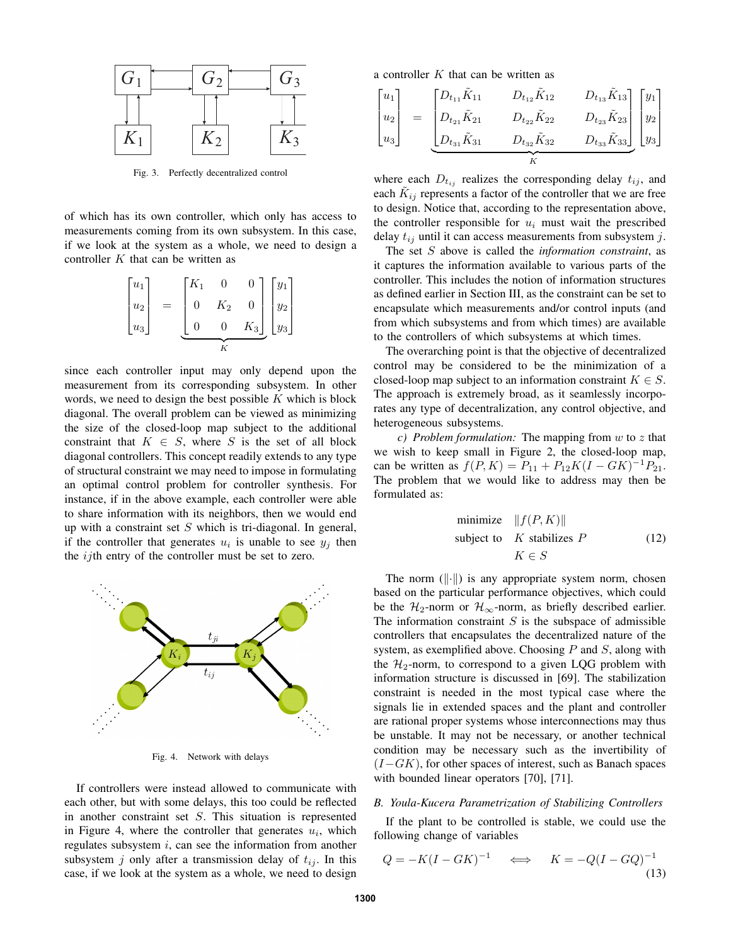

Fig. 3. Perfectly decentralized control

of which has its own controller, which only has access to measurements coming from its own subsystem. In this case, if we look at the system as a whole, we need to design a controller  $K$  that can be written as

$$
\begin{bmatrix} u_1 \\ u_2 \\ u_3 \end{bmatrix} = \underbrace{\begin{bmatrix} K_1 & 0 & 0 \\ 0 & K_2 & 0 \\ 0 & 0 & K_3 \end{bmatrix}}_{K} \begin{bmatrix} y_1 \\ y_2 \\ y_3 \end{bmatrix}
$$

since each controller input may only depend upon the measurement from its corresponding subsystem. In other words, we need to design the best possible  $K$  which is block diagonal. The overall problem can be viewed as minimizing the size of the closed-loop map subject to the additional constraint that  $K \in S$ , where S is the set of all block diagonal controllers. This concept readily extends to any type of structural constraint we may need to impose in formulating an optimal control problem for controller synthesis. For instance, if in the above example, each controller were able to share information with its neighbors, then we would end up with a constraint set  $S$  which is tri-diagonal. In general, if the controller that generates  $u_i$  is unable to see  $y_j$  then the *ij*th entry of the controller must be set to zero.



Fig. 4. Network with delays

If controllers were instead allowed to communicate with each other, but with some delays, this too could be reflected in another constraint set S. This situation is represented in Figure 4, where the controller that generates  $u_i$ , which regulates subsystem  $i$ , can see the information from another subsystem j only after a transmission delay of  $t_{ij}$ . In this case, if we look at the system as a whole, we need to design a controller  $K$  that can be written as

$$
\begin{bmatrix} u_1 \\ u_2 \\ u_3 \end{bmatrix} = \underbrace{\begin{bmatrix} D_{t_{11}}\tilde{K}_{11} & D_{t_{12}}\tilde{K}_{12} & D_{t_{13}}\tilde{K}_{13} \\ D_{t_{21}}\tilde{K}_{21} & D_{t_{22}}\tilde{K}_{22} & D_{t_{23}}\tilde{K}_{23} \\ D_{t_{31}}\tilde{K}_{31} & D_{t_{32}}\tilde{K}_{32} & D_{t_{33}}\tilde{K}_{33} \end{bmatrix}}_{K} \begin{bmatrix} y_1 \\ y_2 \\ y_3 \end{bmatrix}
$$

where each  $D_{t_{ij}}$  realizes the corresponding delay  $t_{ij}$ , and each  $\tilde{K}_{ij}$  represents a factor of the controller that we are free to design. Notice that, according to the representation above, the controller responsible for  $u_i$  must wait the prescribed delay  $t_{ij}$  until it can access measurements from subsystem j.

The set S above is called the *information constraint*, as it captures the information available to various parts of the controller. This includes the notion of information structures as defined earlier in Section III, as the constraint can be set to encapsulate which measurements and/or control inputs (and from which subsystems and from which times) are available to the controllers of which subsystems at which times.

The overarching point is that the objective of decentralized control may be considered to be the minimization of a closed-loop map subject to an information constraint  $K \in S$ . The approach is extremely broad, as it seamlessly incorporates any type of decentralization, any control objective, and heterogeneous subsystems.

*c) Problem formulation:* The mapping from w to z that we wish to keep small in Figure 2, the closed-loop map, can be written as  $f(P, K) = P_{11} + P_{12}K(I - GK)^{-1}P_{21}$ . The problem that we would like to address may then be formulated as:

minimize 
$$
||f(P, K)||
$$
  
subject to *K* stabilizes *P*  
 $K \in S$  (12)

The norm  $(\|\cdot\|)$  is any appropriate system norm, chosen based on the particular performance objectives, which could be the  $\mathcal{H}_2$ -norm or  $\mathcal{H}_{\infty}$ -norm, as briefly described earlier. The information constraint  $S$  is the subspace of admissible controllers that encapsulates the decentralized nature of the system, as exemplified above. Choosing  $P$  and  $S$ , along with the  $\mathcal{H}_2$ -norm, to correspond to a given LQG problem with information structure is discussed in [69]. The stabilization constraint is needed in the most typical case where the signals lie in extended spaces and the plant and controller are rational proper systems whose interconnections may thus be unstable. It may not be necessary, or another technical condition may be necessary such as the invertibility of  $(I-GK)$ , for other spaces of interest, such as Banach spaces with bounded linear operators [70], [71].

#### *B. Youla-Kucera Parametrization of Stabilizing Controllers*

If the plant to be controlled is stable, we could use the following change of variables

$$
Q = -K(I - GK)^{-1} \quad \Longleftrightarrow \quad K = -Q(I - GQ)^{-1}
$$
\n(13)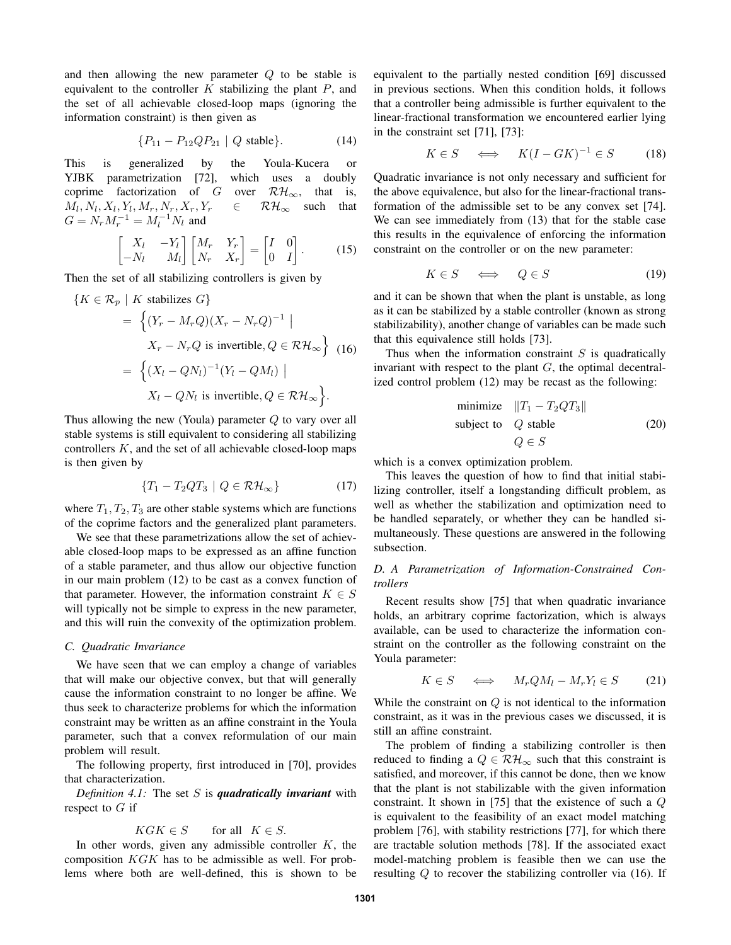and then allowing the new parameter Q to be stable is equivalent to the controller  $K$  stabilizing the plant  $P$ , and the set of all achievable closed-loop maps (ignoring the information constraint) is then given as

$$
\{P_{11} - P_{12}QP_{21} \mid Q \text{ stable}\}.
$$
 (14)

This is generalized by the Youla-Kucera or YJBK parametrization [72], which uses a doubly coprime factorization of G over  $\mathcal{RH}_{\infty}$ , that is,  $M_l, N_l, X_l, Y_l, M_r, N_r, X_r, Y_r \in \mathcal{RH}_{\infty}$  such that  $G = N_r M_r^{-1} = M_l^{-1} N_l$  and

$$
\begin{bmatrix} X_l & -Y_l \\ -N_l & M_l \end{bmatrix} \begin{bmatrix} M_r & Y_r \\ N_r & X_r \end{bmatrix} = \begin{bmatrix} I & 0 \\ 0 & I \end{bmatrix}.
$$
 (15)

Then the set of all stabilizing controllers is given by

$$
\{K \in \mathcal{R}_p \mid K \text{ stabilizes } G\}
$$
  
= 
$$
\left\{ (Y_r - M_r Q)(X_r - N_r Q)^{-1} \mid X_r - N_r Q \text{ is invertible}, Q \in \mathcal{RH}_{\infty} \right\}
$$
 (16)  
= 
$$
\left\{ (X_l - QN_l)^{-1} (Y_l - QM_l) \mid X_l - QN_l \text{ is invertible}, Q \in \mathcal{RH}_{\infty} \right\}.
$$

Thus allowing the new (Youla) parameter  $Q$  to vary over all stable systems is still equivalent to considering all stabilizing controllers  $K$ , and the set of all achievable closed-loop maps is then given by

$$
\{T_1 - T_2QT_3 \mid Q \in \mathcal{RH}_{\infty}\}\tag{17}
$$

where  $T_1, T_2, T_3$  are other stable systems which are functions of the coprime factors and the generalized plant parameters.

We see that these parametrizations allow the set of achievable closed-loop maps to be expressed as an affine function of a stable parameter, and thus allow our objective function in our main problem (12) to be cast as a convex function of that parameter. However, the information constraint  $K \in S$ will typically not be simple to express in the new parameter, and this will ruin the convexity of the optimization problem.

#### *C. Quadratic Invariance*

We have seen that we can employ a change of variables that will make our objective convex, but that will generally cause the information constraint to no longer be affine. We thus seek to characterize problems for which the information constraint may be written as an affine constraint in the Youla parameter, such that a convex reformulation of our main problem will result.

The following property, first introduced in [70], provides that characterization.

*Definition 4.1:* The set S is *quadratically invariant* with respect to  $G$  if

$$
KGK \in S \qquad \text{for all} \quad K \in S.
$$

In other words, given any admissible controller  $K$ , the composition KGK has to be admissible as well. For problems where both are well-defined, this is shown to be equivalent to the partially nested condition [69] discussed in previous sections. When this condition holds, it follows that a controller being admissible is further equivalent to the linear-fractional transformation we encountered earlier lying in the constraint set [71], [73]:

$$
K \in S \quad \iff \quad K(I - GK)^{-1} \in S \tag{18}
$$

Quadratic invariance is not only necessary and sufficient for the above equivalence, but also for the linear-fractional transformation of the admissible set to be any convex set [74]. We can see immediately from (13) that for the stable case this results in the equivalence of enforcing the information constraint on the controller or on the new parameter:

$$
K \in S \quad \iff \quad Q \in S \tag{19}
$$

and it can be shown that when the plant is unstable, as long as it can be stabilized by a stable controller (known as strong stabilizability), another change of variables can be made such that this equivalence still holds [73].

Thus when the information constraint  $S$  is quadratically invariant with respect to the plant  $G$ , the optimal decentralized control problem (12) may be recast as the following:

minimize 
$$
||T_1 - T_2QT_3||
$$
  
subject to  $Q$  stable  
 $Q \in S$  (20)

which is a convex optimization problem.

This leaves the question of how to find that initial stabilizing controller, itself a longstanding difficult problem, as well as whether the stabilization and optimization need to be handled separately, or whether they can be handled simultaneously. These questions are answered in the following subsection.

# *D. A Parametrization of Information-Constrained Controllers*

Recent results show [75] that when quadratic invariance holds, an arbitrary coprime factorization, which is always available, can be used to characterize the information constraint on the controller as the following constraint on the Youla parameter:

$$
K \in S \quad \iff \quad M_r Q M_l - M_r Y_l \in S \tag{21}
$$

While the constraint on  $Q$  is not identical to the information constraint, as it was in the previous cases we discussed, it is still an affine constraint.

The problem of finding a stabilizing controller is then reduced to finding a  $Q \in \mathcal{RH}_{\infty}$  such that this constraint is satisfied, and moreover, if this cannot be done, then we know that the plant is not stabilizable with the given information constraint. It shown in [75] that the existence of such a Q is equivalent to the feasibility of an exact model matching problem [76], with stability restrictions [77], for which there are tractable solution methods [78]. If the associated exact model-matching problem is feasible then we can use the resulting Q to recover the stabilizing controller via (16). If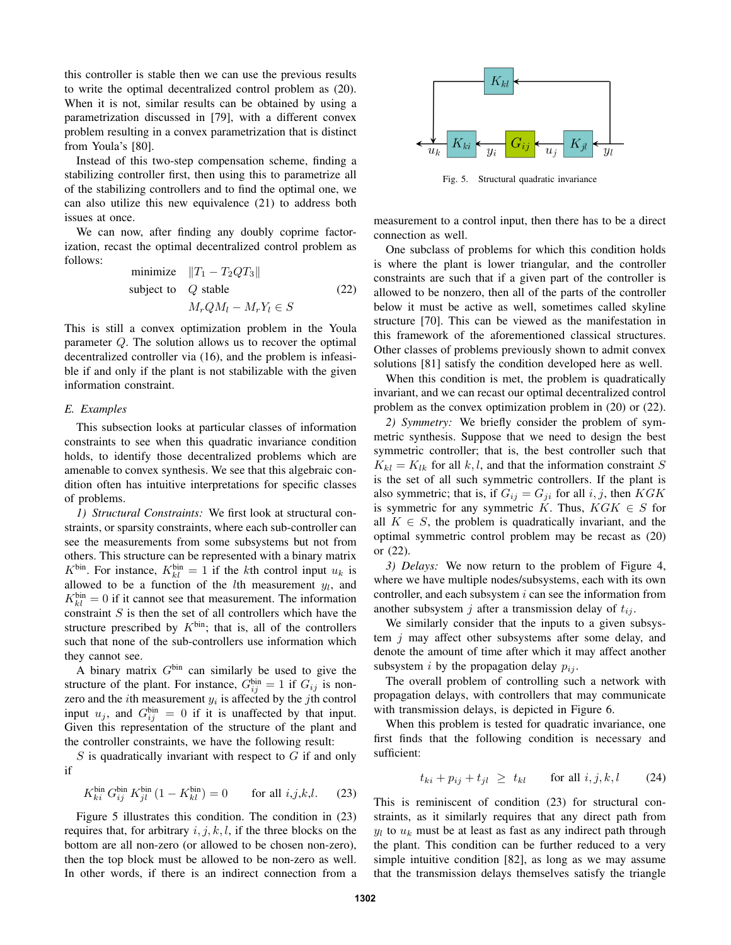this controller is stable then we can use the previous results to write the optimal decentralized control problem as (20). When it is not, similar results can be obtained by using a parametrization discussed in [79], with a different convex problem resulting in a convex parametrization that is distinct from Youla's [80].

Instead of this two-step compensation scheme, finding a stabilizing controller first, then using this to parametrize all of the stabilizing controllers and to find the optimal one, we can also utilize this new equivalence (21) to address both issues at once.

We can now, after finding any doubly coprime factorization, recast the optimal decentralized control problem as follows:

minimize 
$$
||T_1 - T_2QT_3||
$$
  
subject to *Q* stable  $M_rQM_l - M_rY_l \in S$  (22)

This is still a convex optimization problem in the Youla parameter Q. The solution allows us to recover the optimal decentralized controller via (16), and the problem is infeasible if and only if the plant is not stabilizable with the given information constraint.

#### *E. Examples*

This subsection looks at particular classes of information constraints to see when this quadratic invariance condition holds, to identify those decentralized problems which are amenable to convex synthesis. We see that this algebraic condition often has intuitive interpretations for specific classes of problems.

*1) Structural Constraints:* We first look at structural constraints, or sparsity constraints, where each sub-controller can see the measurements from some subsystems but not from others. This structure can be represented with a binary matrix  $K^{\text{bin}}$ . For instance,  $K^{\text{bin}}_{kl} = 1$  if the kth control input  $u_k$  is allowed to be a function of the *l*th measurement  $y_l$ , and  $K_{kl}^{bin} = 0$  if it cannot see that measurement. The information constraint  $S$  is then the set of all controllers which have the structure prescribed by  $K^{\text{bin}}$ ; that is, all of the controllers such that none of the sub-controllers use information which they cannot see.

A binary matrix  $G<sup>bin</sup>$  can similarly be used to give the structure of the plant. For instance,  $G_{ij}^{bin} = 1$  if  $G_{ij}$  is nonzero and the *i*th measurement  $y_i$  is affected by the *j*th control input  $u_j$ , and  $G_{ij}^{bin} = 0$  if it is unaffected by that input. Given this representation of the structure of the plant and the controller constraints, we have the following result:

 $S$  is quadratically invariant with respect to  $G$  if and only if

$$
K_{ki}^{\text{bin}} G_{ij}^{\text{bin}} K_{jl}^{\text{bin}} (1 - K_{kl}^{\text{bin}}) = 0 \quad \text{for all } i, j, k, l. \tag{23}
$$

Figure 5 illustrates this condition. The condition in (23) requires that, for arbitrary  $i, j, k, l$ , if the three blocks on the bottom are all non-zero (or allowed to be chosen non-zero), then the top block must be allowed to be non-zero as well. In other words, if there is an indirect connection from a



Fig. 5. Structural quadratic invariance

measurement to a control input, then there has to be a direct connection as well.

One subclass of problems for which this condition holds is where the plant is lower triangular, and the controller constraints are such that if a given part of the controller is allowed to be nonzero, then all of the parts of the controller below it must be active as well, sometimes called skyline structure [70]. This can be viewed as the manifestation in this framework of the aforementioned classical structures. Other classes of problems previously shown to admit convex solutions [81] satisfy the condition developed here as well.

When this condition is met, the problem is quadratically invariant, and we can recast our optimal decentralized control problem as the convex optimization problem in (20) or (22).

*2) Symmetry:* We briefly consider the problem of symmetric synthesis. Suppose that we need to design the best symmetric controller; that is, the best controller such that  $K_{kl} = K_{lk}$  for all k, l, and that the information constraint S is the set of all such symmetric controllers. If the plant is also symmetric; that is, if  $G_{ij} = G_{ji}$  for all i, j, then KGK is symmetric for any symmetric K. Thus,  $KGK \in S$  for all  $K \in S$ , the problem is quadratically invariant, and the optimal symmetric control problem may be recast as (20) or (22).

*3) Delays:* We now return to the problem of Figure 4, where we have multiple nodes/subsystems, each with its own controller, and each subsystem  $i$  can see the information from another subsystem j after a transmission delay of  $t_{ij}$ .

We similarly consider that the inputs to a given subsystem  $j$  may affect other subsystems after some delay, and denote the amount of time after which it may affect another subsystem *i* by the propagation delay  $p_{ij}$ .

The overall problem of controlling such a network with propagation delays, with controllers that may communicate with transmission delays, is depicted in Figure 6.

When this problem is tested for quadratic invariance, one first finds that the following condition is necessary and sufficient:

$$
t_{ki} + p_{ij} + t_{jl} \ge t_{kl} \qquad \text{for all } i, j, k, l \tag{24}
$$

This is reminiscent of condition (23) for structural constraints, as it similarly requires that any direct path from  $y_l$  to  $u_k$  must be at least as fast as any indirect path through the plant. This condition can be further reduced to a very simple intuitive condition [82], as long as we may assume that the transmission delays themselves satisfy the triangle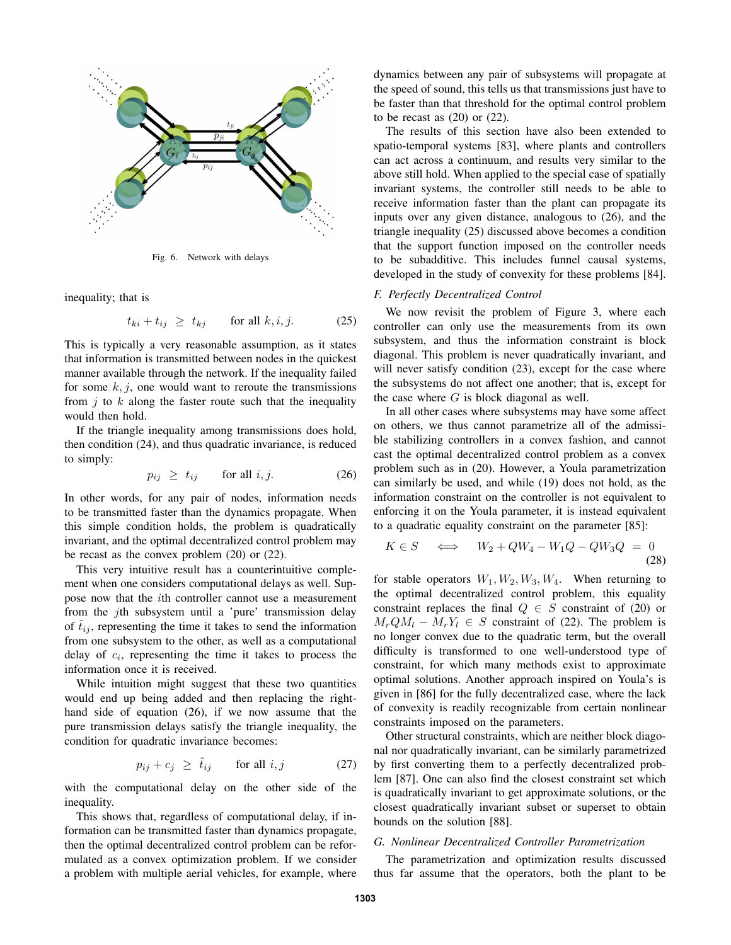

Fig. 6. Network with delays

inequality; that is

$$
t_{ki} + t_{ij} \ge t_{kj} \qquad \text{for all } k, i, j. \tag{25}
$$

This is typically a very reasonable assumption, as it states that information is transmitted between nodes in the quickest manner available through the network. If the inequality failed for some  $k, j$ , one would want to reroute the transmissions from  $i$  to  $k$  along the faster route such that the inequality would then hold.

If the triangle inequality among transmissions does hold, then condition (24), and thus quadratic invariance, is reduced to simply:

$$
p_{ij} \ge t_{ij} \qquad \text{for all } i, j. \tag{26}
$$

In other words, for any pair of nodes, information needs to be transmitted faster than the dynamics propagate. When this simple condition holds, the problem is quadratically invariant, and the optimal decentralized control problem may be recast as the convex problem (20) or (22).

This very intuitive result has a counterintuitive complement when one considers computational delays as well. Suppose now that the ith controller cannot use a measurement from the jth subsystem until a 'pure' transmission delay of  $t_{ij}$ , representing the time it takes to send the information from one subsystem to the other, as well as a computational delay of  $c_i$ , representing the time it takes to process the information once it is received.

While intuition might suggest that these two quantities would end up being added and then replacing the righthand side of equation (26), if we now assume that the pure transmission delays satisfy the triangle inequality, the condition for quadratic invariance becomes:

$$
p_{ij} + c_j \ge \tilde{t}_{ij} \qquad \text{for all } i, j \tag{27}
$$

with the computational delay on the other side of the inequality.

This shows that, regardless of computational delay, if information can be transmitted faster than dynamics propagate, then the optimal decentralized control problem can be reformulated as a convex optimization problem. If we consider a problem with multiple aerial vehicles, for example, where dynamics between any pair of subsystems will propagate at the speed of sound, this tells us that transmissions just have to be faster than that threshold for the optimal control problem to be recast as  $(20)$  or  $(22)$ .

The results of this section have also been extended to spatio-temporal systems [83], where plants and controllers can act across a continuum, and results very similar to the above still hold. When applied to the special case of spatially invariant systems, the controller still needs to be able to receive information faster than the plant can propagate its inputs over any given distance, analogous to (26), and the triangle inequality (25) discussed above becomes a condition that the support function imposed on the controller needs to be subadditive. This includes funnel causal systems, developed in the study of convexity for these problems [84].

## *F. Perfectly Decentralized Control*

We now revisit the problem of Figure 3, where each controller can only use the measurements from its own subsystem, and thus the information constraint is block diagonal. This problem is never quadratically invariant, and will never satisfy condition  $(23)$ , except for the case where the subsystems do not affect one another; that is, except for the case where  $G$  is block diagonal as well.

In all other cases where subsystems may have some affect on others, we thus cannot parametrize all of the admissible stabilizing controllers in a convex fashion, and cannot cast the optimal decentralized control problem as a convex problem such as in (20). However, a Youla parametrization can similarly be used, and while (19) does not hold, as the information constraint on the controller is not equivalent to enforcing it on the Youla parameter, it is instead equivalent to a quadratic equality constraint on the parameter [85]:

$$
K \in S \quad \Longleftrightarrow \quad W_2 + QW_4 - W_1Q - QW_3Q = 0 \tag{28}
$$

for stable operators  $W_1, W_2, W_3, W_4$ . When returning to the optimal decentralized control problem, this equality constraint replaces the final  $Q \in S$  constraint of (20) or  $M_rQM_l - M_rY_l \in S$  constraint of (22). The problem is no longer convex due to the quadratic term, but the overall difficulty is transformed to one well-understood type of constraint, for which many methods exist to approximate optimal solutions. Another approach inspired on Youla's is given in [86] for the fully decentralized case, where the lack of convexity is readily recognizable from certain nonlinear constraints imposed on the parameters.

Other structural constraints, which are neither block diagonal nor quadratically invariant, can be similarly parametrized by first converting them to a perfectly decentralized problem [87]. One can also find the closest constraint set which is quadratically invariant to get approximate solutions, or the closest quadratically invariant subset or superset to obtain bounds on the solution [88].

## *G. Nonlinear Decentralized Controller Parametrization*

The parametrization and optimization results discussed thus far assume that the operators, both the plant to be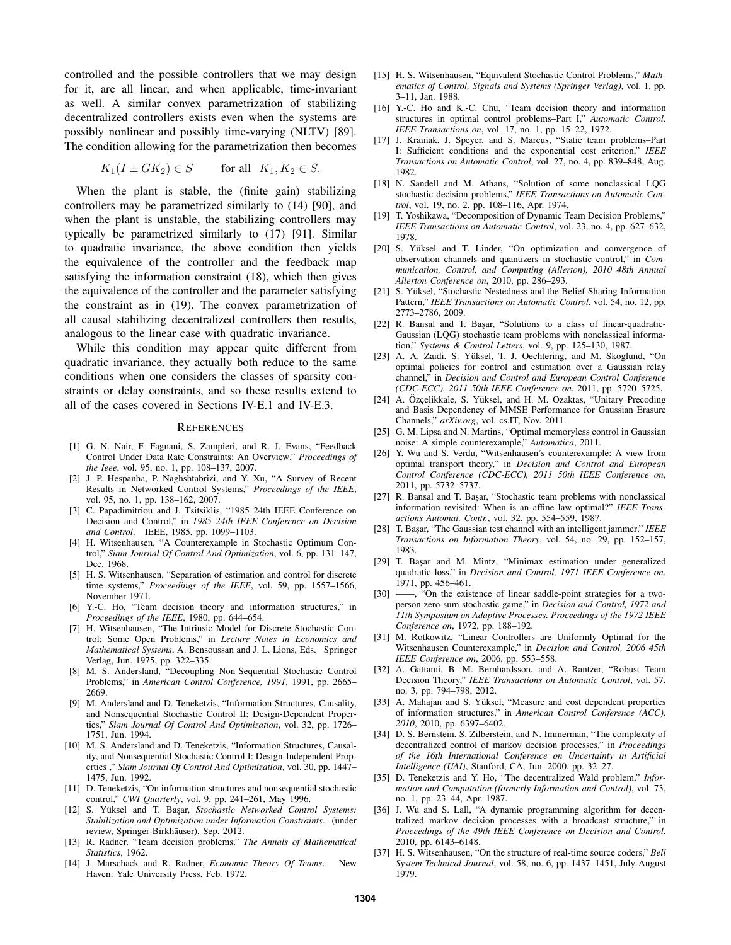controlled and the possible controllers that we may design for it, are all linear, and when applicable, time-invariant as well. A similar convex parametrization of stabilizing decentralized controllers exists even when the systems are possibly nonlinear and possibly time-varying (NLTV) [89]. The condition allowing for the parametrization then becomes

$$
K_1(I \pm GK_2) \in S \qquad \text{for all} \ \ K_1, K_2 \in S.
$$

When the plant is stable, the (finite gain) stabilizing controllers may be parametrized similarly to (14) [90], and when the plant is unstable, the stabilizing controllers may typically be parametrized similarly to (17) [91]. Similar to quadratic invariance, the above condition then yields the equivalence of the controller and the feedback map satisfying the information constraint (18), which then gives the equivalence of the controller and the parameter satisfying the constraint as in (19). The convex parametrization of all causal stabilizing decentralized controllers then results, analogous to the linear case with quadratic invariance.

While this condition may appear quite different from quadratic invariance, they actually both reduce to the same conditions when one considers the classes of sparsity constraints or delay constraints, and so these results extend to all of the cases covered in Sections IV-E.1 and IV-E.3.

#### **REFERENCES**

- [1] G. N. Nair, F. Fagnani, S. Zampieri, and R. J. Evans, "Feedback Control Under Data Rate Constraints: An Overview," *Proceedings of the Ieee*, vol. 95, no. 1, pp. 108–137, 2007.
- [2] J. P. Hespanha, P. Naghshtabrizi, and Y. Xu, "A Survey of Recent Results in Networked Control Systems," *Proceedings of the IEEE*, vol. 95, no. 1, pp. 138–162, 2007.
- [3] C. Papadimitriou and J. Tsitsiklis, "1985 24th IEEE Conference on Decision and Control," in *1985 24th IEEE Conference on Decision and Control*. IEEE, 1985, pp. 1099–1103.
- [4] H. Witsenhausen, "A Counterexample in Stochastic Optimum Control," *Siam Journal Of Control And Optimization*, vol. 6, pp. 131–147, Dec. 1968.
- [5] H. S. Witsenhausen, "Separation of estimation and control for discrete time systems," *Proceedings of the IEEE*, vol. 59, pp. 1557–1566, November 1971.
- [6] Y.-C. Ho, "Team decision theory and information structures," in *Proceedings of the IEEE*, 1980, pp. 644–654.
- [7] H. Witsenhausen, "The Intrinsic Model for Discrete Stochastic Control: Some Open Problems," in *Lecture Notes in Economics and Mathematical Systems*, A. Bensoussan and J. L. Lions, Eds. Springer Verlag, Jun. 1975, pp. 322–335.
- [8] M. S. Andersland, "Decoupling Non-Sequential Stochastic Control Problems," in *American Control Conference, 1991*, 1991, pp. 2665– 2669.
- [9] M. Andersland and D. Teneketzis, "Information Structures, Causality, and Nonsequential Stochastic Control II: Design-Dependent Properties," *Siam Journal Of Control And Optimization*, vol. 32, pp. 1726– 1751, Jun. 1994.
- [10] M. S. Andersland and D. Teneketzis, "Information Structures, Causality, and Nonsequential Stochastic Control I: Design-Independent Properties ," *Siam Journal Of Control And Optimization*, vol. 30, pp. 1447– 1475, Jun. 1992.
- [11] D. Teneketzis, "On information structures and nonsequential stochastic control," *CWI Quarterly*, vol. 9, pp. 241–261, May 1996.
- [12] S. Yüksel and T. Başar, Stochastic Networked Control Systems: *Stabilization and Optimization under Information Constraints*. (under review, Springer-Birkhäuser), Sep. 2012.
- [13] R. Radner, "Team decision problems," *The Annals of Mathematical Statistics*, 1962.
- [14] J. Marschack and R. Radner, *Economic Theory Of Teams*. New Haven: Yale University Press, Feb. 1972.
- [15] H. S. Witsenhausen, "Equivalent Stochastic Control Problems," *Mathematics of Control, Signals and Systems (Springer Verlag)*, vol. 1, pp. 3–11, Jan. 1988.
- [16] Y.-C. Ho and K.-C. Chu, "Team decision theory and information structures in optimal control problems–Part I," *Automatic Control, IEEE Transactions on*, vol. 17, no. 1, pp. 15–22, 1972.
- [17] J. Krainak, J. Speyer, and S. Marcus, "Static team problems–Part I: Sufficient conditions and the exponential cost criterion," *IEEE Transactions on Automatic Control*, vol. 27, no. 4, pp. 839–848, Aug. 1982.
- [18] N. Sandell and M. Athans, "Solution of some nonclassical LQG stochastic decision problems," *IEEE Transactions on Automatic Control*, vol. 19, no. 2, pp. 108–116, Apr. 1974.
- [19] T. Yoshikawa, "Decomposition of Dynamic Team Decision Problems," *IEEE Transactions on Automatic Control*, vol. 23, no. 4, pp. 627–632, 1978.
- [20] S. Yüksel and T. Linder, "On optimization and convergence of observation channels and quantizers in stochastic control," in *Communication, Control, and Computing (Allerton), 2010 48th Annual Allerton Conference on*, 2010, pp. 286–293.
- [21] S. Yüksel, "Stochastic Nestedness and the Belief Sharing Information Pattern," *IEEE Transactions on Automatic Control*, vol. 54, no. 12, pp. 2773–2786, 2009.
- [22] R. Bansal and T. Basar, "Solutions to a class of linear-quadratic-Gaussian (LQG) stochastic team problems with nonclassical information," *Systems & Control Letters*, vol. 9, pp. 125–130, 1987.
- [23] A. A. Zaidi, S. Yüksel, T. J. Oechtering, and M. Skoglund, "On optimal policies for control and estimation over a Gaussian relay channel," in *Decision and Control and European Control Conference (CDC-ECC), 2011 50th IEEE Conference on*, 2011, pp. 5720–5725.
- [24] A. Özçelikkale, S. Yüksel, and H. M. Ozaktas, "Unitary Precoding and Basis Dependency of MMSE Performance for Gaussian Erasure Channels," *arXiv.org*, vol. cs.IT, Nov. 2011.
- [25] G. M. Lipsa and N. Martins, "Optimal memoryless control in Gaussian noise: A simple counterexample," *Automatica*, 2011.
- [26] Y. Wu and S. Verdu, "Witsenhausen's counterexample: A view from optimal transport theory," in *Decision and Control and European Control Conference (CDC-ECC), 2011 50th IEEE Conference on*, 2011, pp. 5732–5737.
- [27] R. Bansal and T. Başar, "Stochastic team problems with nonclassical information revisited: When is an affine law optimal?" *IEEE Transactions Automat. Contr.*, vol. 32, pp. 554–559, 1987.
- [28] T. Başar, "The Gaussian test channel with an intelligent jammer," *IEEE Transactions on Information Theory*, vol. 54, no. 29, pp. 152–157, 1983.
- [29] T. Başar and M. Mintz, "Minimax estimation under generalized quadratic loss," in *Decision and Control, 1971 IEEE Conference on*, 1971, pp. 456–461.<br>  $[30] \longrightarrow$ , "On the exist"
- -, "On the existence of linear saddle-point strategies for a twoperson zero-sum stochastic game," in *Decision and Control, 1972 and 11th Symposium on Adaptive Processes. Proceedings of the 1972 IEEE Conference on*, 1972, pp. 188–192.
- [31] M. Rotkowitz, "Linear Controllers are Uniformly Optimal for the Witsenhausen Counterexample," in *Decision and Control, 2006 45th IEEE Conference on*, 2006, pp. 553–558.
- [32] A. Gattami, B. M. Bernhardsson, and A. Rantzer, "Robust Team Decision Theory," *IEEE Transactions on Automatic Control*, vol. 57, no. 3, pp. 794–798, 2012.
- [33] A. Mahajan and S. Yüksel, "Measure and cost dependent properties of information structures," in *American Control Conference (ACC), 2010*, 2010, pp. 6397–6402.
- [34] D. S. Bernstein, S. Zilberstein, and N. Immerman, "The complexity of decentralized control of markov decision processes," in *Proceedings of the 16th International Conference on Uncertainty in Artificial Intelligence (UAI)*, Stanford, CA, Jun. 2000, pp. 32–27.
- [35] D. Teneketzis and Y. Ho, "The decentralized Wald problem," *Information and Computation (formerly Information and Control)*, vol. 73, no. 1, pp. 23–44, Apr. 1987.
- [36] J. Wu and S. Lall, "A dynamic programming algorithm for decentralized markov decision processes with a broadcast structure," in *Proceedings of the 49th IEEE Conference on Decision and Control*, 2010, pp. 6143–6148.
- [37] H. S. Witsenhausen, "On the structure of real-time source coders," *Bell System Technical Journal*, vol. 58, no. 6, pp. 1437–1451, July-August 1979.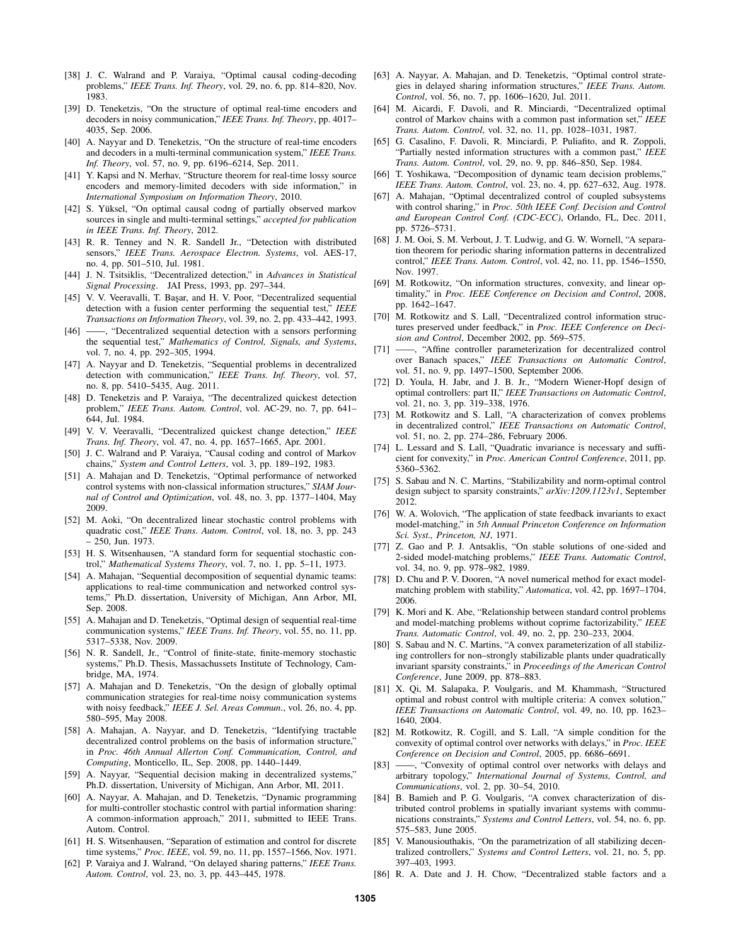- [38] J. C. Walrand and P. Varaiya, "Optimal causal coding-decoding problems," *IEEE Trans. Inf. Theory*, vol. 29, no. 6, pp. 814–820, Nov. 1983.
- [39] D. Teneketzis, "On the structure of optimal real-time encoders and decoders in noisy communication," *IEEE Trans. Inf. Theory*, pp. 4017– 4035, Sep. 2006.
- [40] A. Nayyar and D. Teneketzis, "On the structure of real-time encoders and decoders in a multi-terminal communication system," *IEEE Trans. Inf. Theory*, vol. 57, no. 9, pp. 6196–6214, Sep. 2011.
- [41] Y. Kapsi and N. Merhav, "Structure theorem for real-time lossy source encoders and memory-limited decoders with side information," in *International Symposium on Information Theory*, 2010.
- [42] S. Yüksel, "On optimal causal codng of partially observed markov sources in single and multi-terminal settings," *accepted for publication in IEEE Trans. Inf. Theory*, 2012.
- [43] R. R. Tenney and N. R. Sandell Jr., "Detection with distributed sensors," *IEEE Trans. Aerospace Electron. Systems*, vol. AES-17, no. 4, pp. 501–510, Jul. 1981.
- [44] J. N. Tsitsiklis, "Decentralized detection," in *Advances in Statistical Signal Processing*. JAI Press, 1993, pp. 297–344.
- [45] V. V. Veeravalli, T. Basar, and H. V. Poor, "Decentralized sequential detection with a fusion center performing the sequential test," *IEEE Transactions on Information Theory*, vol. 39, no. 2, pp. 433–442, 1993.
- [46] ——, "Decentralized sequential detection with a sensors performing the sequential test," *Mathematics of Control, Signals, and Systems*, vol. 7, no. 4, pp. 292–305, 1994.
- [47] A. Nayyar and D. Teneketzis, "Sequential problems in decentralized detection with communication," *IEEE Trans. Inf. Theory*, vol. 57, no. 8, pp. 5410–5435, Aug. 2011.
- [48] D. Teneketzis and P. Varaiya, "The decentralized quickest detection problem," *IEEE Trans. Autom. Control*, vol. AC-29, no. 7, pp. 641– 644, Jul. 1984.
- [49] V. V. Veeravalli, "Decentralized quickest change detection," *IEEE Trans. Inf. Theory*, vol. 47, no. 4, pp. 1657–1665, Apr. 2001.
- [50] J. C. Walrand and P. Varaiya, "Causal coding and control of Markov chains," *System and Control Letters*, vol. 3, pp. 189–192, 1983.
- [51] A. Mahajan and D. Teneketzis, "Optimal performance of networked control systems with non-classical information structures," *SIAM Journal of Control and Optimization*, vol. 48, no. 3, pp. 1377–1404, May 2009.
- [52] M. Aoki, "On decentralized linear stochastic control problems with quadratic cost," *IEEE Trans. Autom. Control*, vol. 18, no. 3, pp. 243 – 250, Jun. 1973.
- [53] H. S. Witsenhausen, "A standard form for sequential stochastic control," *Mathematical Systems Theory*, vol. 7, no. 1, pp. 5–11, 1973.
- [54] A. Mahajan, "Sequential decomposition of sequential dynamic teams: applications to real-time communication and networked control systems," Ph.D. dissertation, University of Michigan, Ann Arbor, MI, Sep. 2008.
- [55] A. Mahajan and D. Teneketzis, "Optimal design of sequential real-time communication systems," *IEEE Trans. Inf. Theory*, vol. 55, no. 11, pp. 5317–5338, Nov. 2009.
- [56] N. R. Sandell, Jr., "Control of finite-state, finite-memory stochastic systems," Ph.D. Thesis, Massachussets Institute of Technology, Cambridge, MA, 1974.
- [57] A. Mahajan and D. Teneketzis, "On the design of globally optimal communication strategies for real-time noisy communication systems with noisy feedback," *IEEE J. Sel. Areas Commun.*, vol. 26, no. 4, pp. 580–595, May 2008.
- [58] A. Mahajan, A. Nayyar, and D. Teneketzis, "Identifying tractable decentralized control problems on the basis of information structure," in *Proc. 46th Annual Allerton Conf. Communication, Control, and Computing*, Monticello, IL, Sep. 2008, pp. 1440–1449.
- [59] A. Nayyar, "Sequential decision making in decentralized systems," Ph.D. dissertation, University of Michigan, Ann Arbor, MI, 2011.
- [60] A. Nayyar, A. Mahajan, and D. Teneketzis, "Dynamic programming for multi-controller stochastic control with partial information sharing: A common-information approach," 2011, submitted to IEEE Trans. Autom. Control.
- [61] H. S. Witsenhausen, "Separation of estimation and control for discrete time systems," *Proc. IEEE*, vol. 59, no. 11, pp. 1557–1566, Nov. 1971.
- [62] P. Varaiya and J. Walrand, "On delayed sharing patterns," *IEEE Trans. Autom. Control*, vol. 23, no. 3, pp. 443–445, 1978.
- [63] A. Nayyar, A. Mahajan, and D. Teneketzis, "Optimal control strategies in delayed sharing information structures," *IEEE Trans. Autom. Control*, vol. 56, no. 7, pp. 1606–1620, Jul. 2011.
- [64] M. Aicardi, F. Davoli, and R. Minciardi, "Decentralized optimal control of Markov chains with a common past information set," *IEEE Trans. Autom. Control*, vol. 32, no. 11, pp. 1028–1031, 1987.
- [65] G. Casalino, F. Davoli, R. Minciardi, P. Puliafito, and R. Zoppoli, "Partially nested information structures with a common past," *IEEE Trans. Autom. Control*, vol. 29, no. 9, pp. 846–850, Sep. 1984.
- [66] T. Yoshikawa, "Decomposition of dynamic team decision problems," *IEEE Trans. Autom. Control*, vol. 23, no. 4, pp. 627–632, Aug. 1978.
- [67] A. Mahajan, "Optimal decentralized control of coupled subsystems with control sharing," in *Proc. 50th IEEE Conf. Decision and Control and European Control Conf. (CDC-ECC)*, Orlando, FL, Dec. 2011, pp. 5726–5731.
- [68] J. M. Ooi, S. M. Verbout, J. T. Ludwig, and G. W. Wornell, "A separation theorem for periodic sharing information patterns in decentralized control," *IEEE Trans. Autom. Control*, vol. 42, no. 11, pp. 1546–1550, Nov. 1997.
- [69] M. Rotkowitz, "On information structures, convexity, and linear optimality," in *Proc. IEEE Conference on Decision and Control*, 2008, pp. 1642–1647.
- [70] M. Rotkowitz and S. Lall, "Decentralized control information structures preserved under feedback," in *Proc. IEEE Conference on Decision and Control*, December 2002, pp. 569–575.
- [71] ——, "Affine controller parameterization for decentralized control over Banach spaces," *IEEE Transactions on Automatic Control*, vol. 51, no. 9, pp. 1497–1500, September 2006.
- [72] D. Youla, H. Jabr, and J. B. Jr., "Modern Wiener-Hopf design of optimal controllers: part II," *IEEE Transactions on Automatic Control*, vol. 21, no. 3, pp. 319–338, 1976.
- [73] M. Rotkowitz and S. Lall, "A characterization of convex problems in decentralized control," *IEEE Transactions on Automatic Control*, vol. 51, no. 2, pp. 274–286, February 2006.
- [74] L. Lessard and S. Lall, "Quadratic invariance is necessary and sufficient for convexity," in *Proc. American Control Conference*, 2011, pp. 5360–5362.
- [75] S. Sabau and N. C. Martins, "Stabilizability and norm-optimal control design subject to sparsity constraints," *arXiv:1209.1123v1*, September 2012.
- [76] W. A. Wolovich, "The application of state feedback invariants to exact model-matching," in *5th Annual Princeton Conference on Information Sci. Syst., Princeton, NJ*, 1971.
- [77] Z. Gao and P. J. Antsaklis, "On stable solutions of one-sided and 2-sided model-matching problems," *IEEE Trans. Automatic Control*, vol. 34, no. 9, pp. 978–982, 1989.
- [78] D. Chu and P. V. Dooren, "A novel numerical method for exact modelmatching problem with stability," *Automatica*, vol. 42, pp. 1697–1704, 2006.
- [79] K. Mori and K. Abe, "Relationship between standard control problems and model-matching problems without coprime factorizability," *IEEE Trans. Automatic Control*, vol. 49, no. 2, pp. 230–233, 2004.
- [80] S. Sabau and N. C. Martins, "A convex parameterization of all stabilizing controllers for non–strongly stabilizable plants under quadratically invariant sparsity constraints," in *Proceedings of the American Control Conference*, June 2009, pp. 878–883.
- [81] X. Qi, M. Salapaka, P. Voulgaris, and M. Khammash, "Structured optimal and robust control with multiple criteria: A convex solution," *IEEE Transactions on Automatic Control*, vol. 49, no. 10, pp. 1623– 1640, 2004.
- [82] M. Rotkowitz, R. Cogill, and S. Lall, "A simple condition for the convexity of optimal control over networks with delays," in *Proc. IEEE Conference on Decision and Control*, 2005, pp. 6686–6691.
- [83] ——, "Convexity of optimal control over networks with delays and arbitrary topology," *International Journal of Systems, Control, and Communications*, vol. 2, pp. 30–54, 2010.
- [84] B. Bamieh and P. G. Voulgaris, "A convex characterization of distributed control problems in spatially invariant systems with communications constraints," *Systems and Control Letters*, vol. 54, no. 6, pp. 575–583, June 2005.
- [85] V. Manousiouthakis, "On the parametrization of all stabilizing decentralized controllers," *Systems and Control Letters*, vol. 21, no. 5, pp. 397–403, 1993.
- [86] R. A. Date and J. H. Chow, "Decentralized stable factors and a